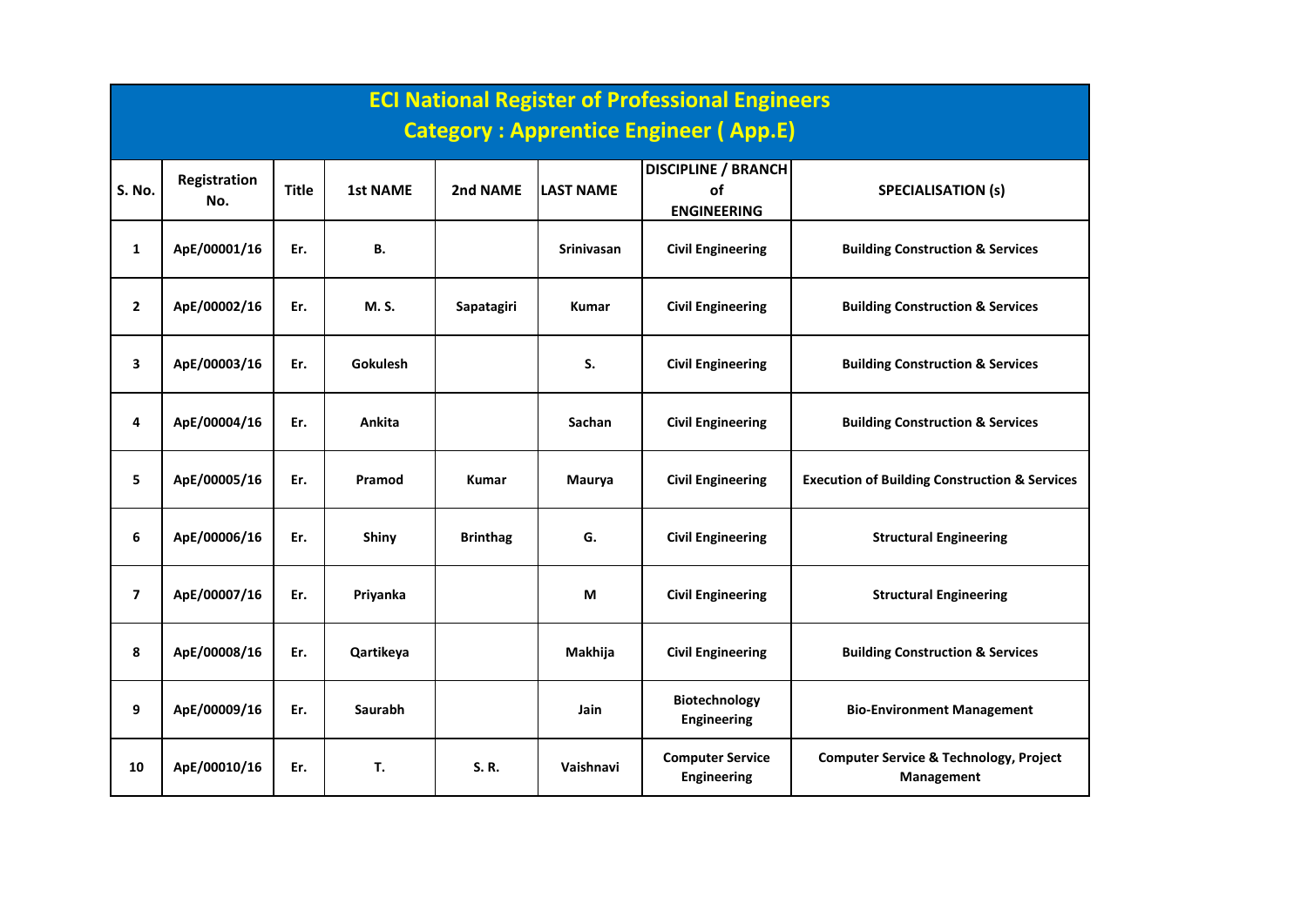|                | <b>ECI National Register of Professional Engineers</b><br><b>Category: Apprentice Engineer (App.E)</b> |              |                 |                 |                   |                                                               |                                                                 |  |  |  |  |  |
|----------------|--------------------------------------------------------------------------------------------------------|--------------|-----------------|-----------------|-------------------|---------------------------------------------------------------|-----------------------------------------------------------------|--|--|--|--|--|
|                |                                                                                                        |              |                 |                 |                   |                                                               |                                                                 |  |  |  |  |  |
| S. No.         | <b>Registration</b><br>No.                                                                             | <b>Title</b> | <b>1st NAME</b> | 2nd NAME        | <b>LAST NAME</b>  | <b>DISCIPLINE / BRANCH</b><br><b>of</b><br><b>ENGINEERING</b> | <b>SPECIALISATION (s)</b>                                       |  |  |  |  |  |
| $\mathbf{1}$   | ApE/00001/16                                                                                           | Er.          | В.              |                 | <b>Srinivasan</b> | <b>Civil Engineering</b>                                      | <b>Building Construction &amp; Services</b>                     |  |  |  |  |  |
| $\mathbf{2}$   | ApE/00002/16                                                                                           | Er.          | M. S.           | Sapatagiri      | <b>Kumar</b>      | <b>Civil Engineering</b>                                      | <b>Building Construction &amp; Services</b>                     |  |  |  |  |  |
| 3              | ApE/00003/16                                                                                           | Er.          | <b>Gokulesh</b> |                 | S.                | <b>Civil Engineering</b>                                      | <b>Building Construction &amp; Services</b>                     |  |  |  |  |  |
| 4              | ApE/00004/16                                                                                           | Er.          | Ankita          |                 | Sachan            | <b>Civil Engineering</b>                                      | <b>Building Construction &amp; Services</b>                     |  |  |  |  |  |
| 5.             | ApE/00005/16                                                                                           | Er.          | Pramod          | <b>Kumar</b>    | Maurya            | <b>Civil Engineering</b>                                      | <b>Execution of Building Construction &amp; Services</b>        |  |  |  |  |  |
| 6              | ApE/00006/16                                                                                           | Er.          | Shiny           | <b>Brinthag</b> | G.                | <b>Civil Engineering</b>                                      | <b>Structural Engineering</b>                                   |  |  |  |  |  |
| $\overline{7}$ | ApE/00007/16                                                                                           | Er.          | Priyanka        |                 | М                 | <b>Civil Engineering</b>                                      | <b>Structural Engineering</b>                                   |  |  |  |  |  |
| 8              | ApE/00008/16                                                                                           | Er.          | Qartikeya       |                 | Makhija           | <b>Civil Engineering</b>                                      | <b>Building Construction &amp; Services</b>                     |  |  |  |  |  |
| 9              | ApE/00009/16                                                                                           | Er.          | <b>Saurabh</b>  |                 | <b>Jain</b>       | Biotechnology<br><b>Engineering</b>                           | <b>Bio-Environment Management</b>                               |  |  |  |  |  |
| 10             | ApE/00010/16                                                                                           | Er.          | Т.              | S.R.            | Vaishnavi         | <b>Computer Service</b><br><b>Engineering</b>                 | <b>Computer Service &amp; Technology, Project</b><br>Management |  |  |  |  |  |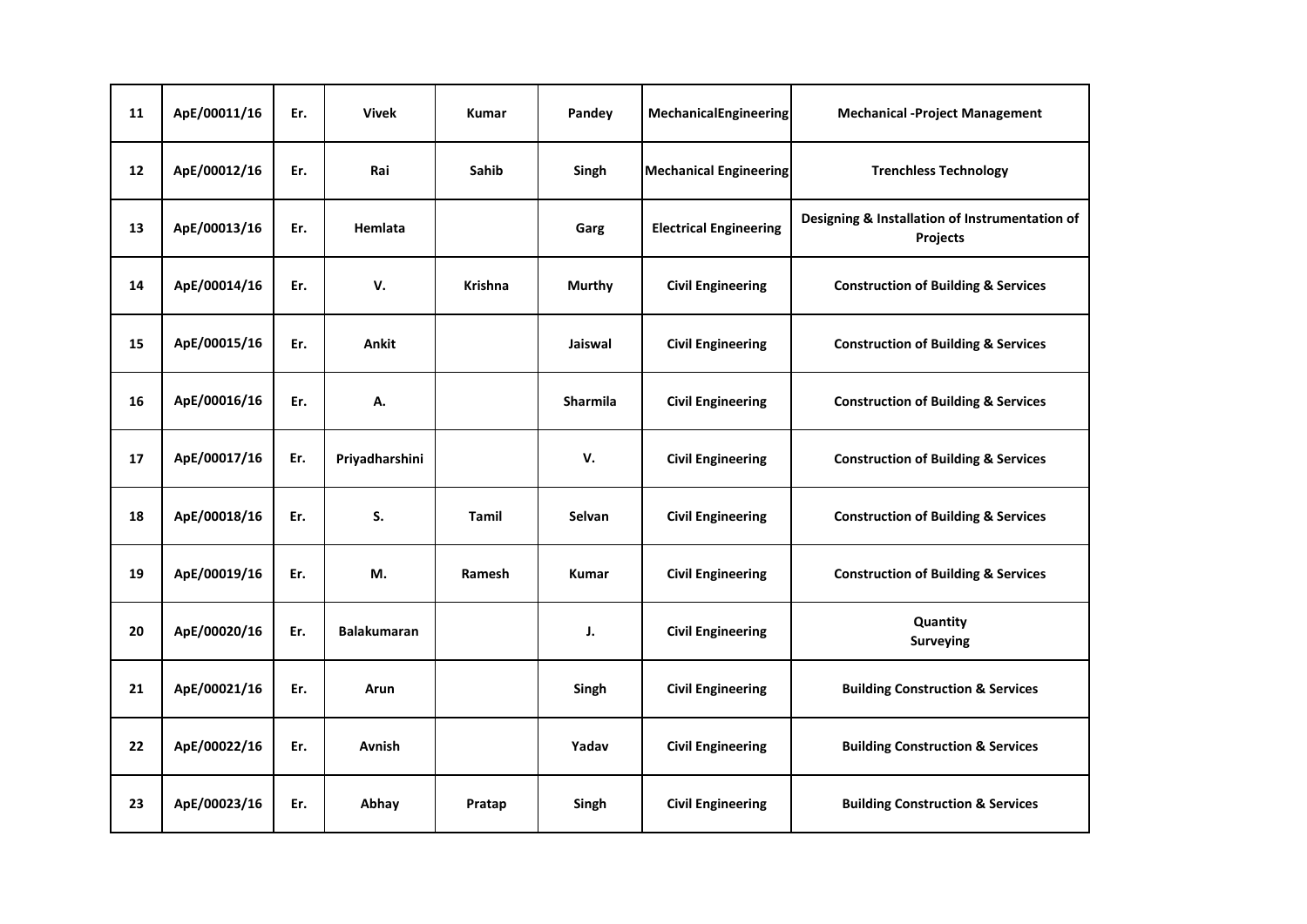| 11 | ApE/00011/16 | Er. | <b>Vivek</b>       | <b>Kumar</b>   | Pandey          | MechanicalEngineering         | <b>Mechanical -Project Management</b>                      |
|----|--------------|-----|--------------------|----------------|-----------------|-------------------------------|------------------------------------------------------------|
| 12 | ApE/00012/16 | Er. | Rai                | Sahib          | Singh           | <b>Mechanical Engineering</b> | <b>Trenchless Technology</b>                               |
| 13 | ApE/00013/16 | Er. | Hemlata            |                | Garg            | <b>Electrical Engineering</b> | Designing & Installation of Instrumentation of<br>Projects |
| 14 | ApE/00014/16 | Er. | v.                 | <b>Krishna</b> | <b>Murthy</b>   | <b>Civil Engineering</b>      | <b>Construction of Building &amp; Services</b>             |
| 15 | ApE/00015/16 | Er. | Ankit              |                | Jaiswal         | <b>Civil Engineering</b>      | <b>Construction of Building &amp; Services</b>             |
| 16 | ApE/00016/16 | Er. | А.                 |                | <b>Sharmila</b> | <b>Civil Engineering</b>      | <b>Construction of Building &amp; Services</b>             |
| 17 | ApE/00017/16 | Er. | Priyadharshini     |                | V.              | <b>Civil Engineering</b>      | <b>Construction of Building &amp; Services</b>             |
| 18 | ApE/00018/16 | Er. | S.                 | Tamil          | <b>Selvan</b>   | <b>Civil Engineering</b>      | <b>Construction of Building &amp; Services</b>             |
| 19 | ApE/00019/16 | Er. | М.                 | Ramesh         | <b>Kumar</b>    | <b>Civil Engineering</b>      | <b>Construction of Building &amp; Services</b>             |
| 20 | ApE/00020/16 | Er. | <b>Balakumaran</b> |                | J.              | <b>Civil Engineering</b>      | Quantity<br><b>Surveying</b>                               |
| 21 | ApE/00021/16 | Er. | Arun               |                | Singh           | <b>Civil Engineering</b>      | <b>Building Construction &amp; Services</b>                |
| 22 | ApE/00022/16 | Er. | Avnish             |                | Yadav           | <b>Civil Engineering</b>      | <b>Building Construction &amp; Services</b>                |
| 23 | ApE/00023/16 | Er. | Abhay              | Pratap         | Singh           | <b>Civil Engineering</b>      | <b>Building Construction &amp; Services</b>                |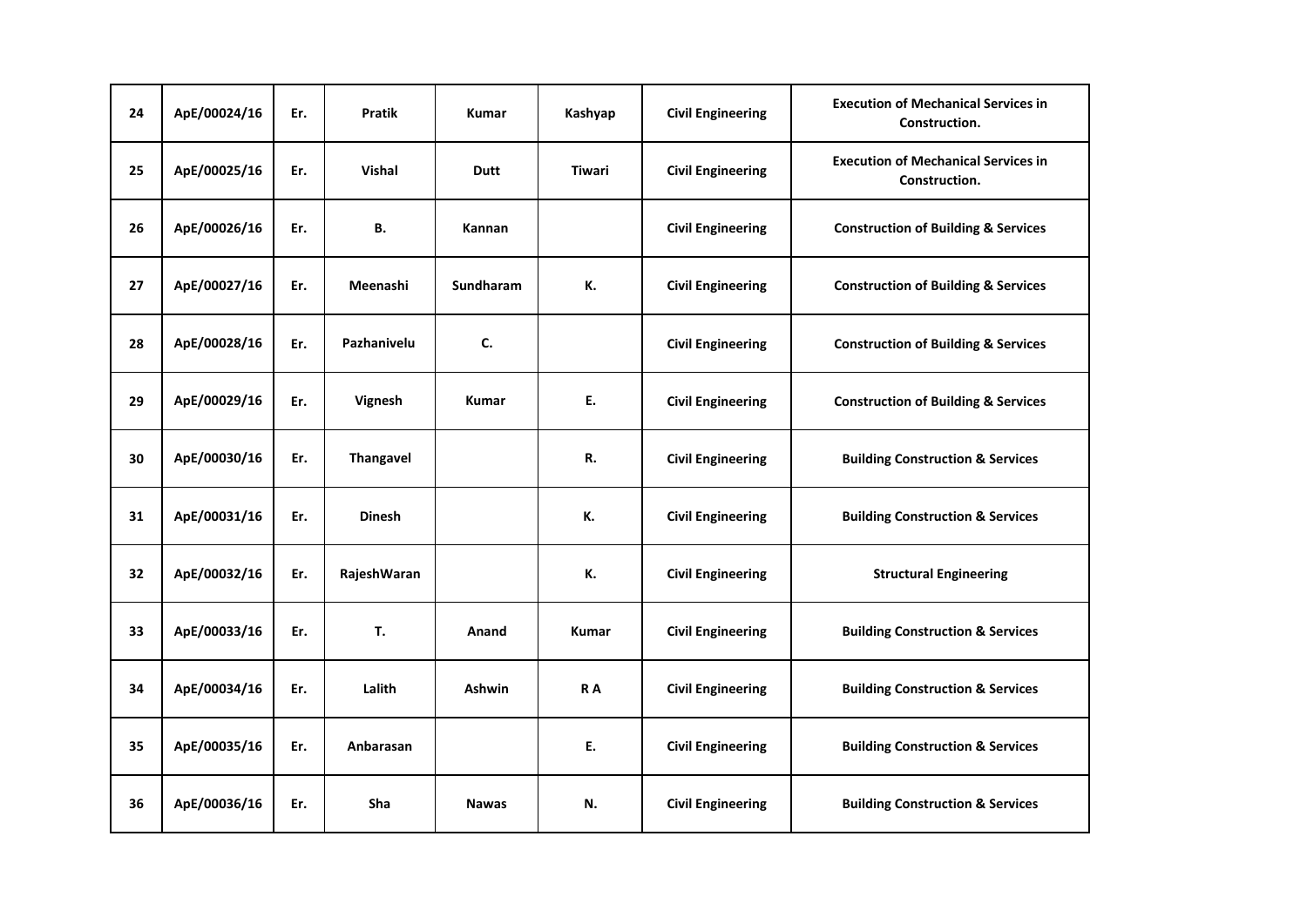| 24 | ApE/00024/16 | Er. | Pratik        | Kumar        | Kashyap       | <b>Civil Engineering</b> | <b>Execution of Mechanical Services in</b><br>Construction. |
|----|--------------|-----|---------------|--------------|---------------|--------------------------|-------------------------------------------------------------|
| 25 | ApE/00025/16 | Er. | <b>Vishal</b> | <b>Dutt</b>  | <b>Tiwari</b> | <b>Civil Engineering</b> | <b>Execution of Mechanical Services in</b><br>Construction. |
| 26 | ApE/00026/16 | Er. | В.            | Kannan       |               | <b>Civil Engineering</b> | <b>Construction of Building &amp; Services</b>              |
| 27 | ApE/00027/16 | Er. | Meenashi      | Sundharam    | К.            | <b>Civil Engineering</b> | <b>Construction of Building &amp; Services</b>              |
| 28 | ApE/00028/16 | Er. | Pazhanivelu   | C.           |               | <b>Civil Engineering</b> | <b>Construction of Building &amp; Services</b>              |
| 29 | ApE/00029/16 | Er. | Vignesh       | <b>Kumar</b> | E.            | <b>Civil Engineering</b> | <b>Construction of Building &amp; Services</b>              |
| 30 | ApE/00030/16 | Er. | Thangavel     |              | R.            | <b>Civil Engineering</b> | <b>Building Construction &amp; Services</b>                 |
| 31 | ApE/00031/16 | Er. | <b>Dinesh</b> |              | К.            | <b>Civil Engineering</b> | <b>Building Construction &amp; Services</b>                 |
| 32 | ApE/00032/16 | Er. | RajeshWaran   |              | К.            | <b>Civil Engineering</b> | <b>Structural Engineering</b>                               |
| 33 | ApE/00033/16 | Er. | T.            | Anand        | <b>Kumar</b>  | <b>Civil Engineering</b> | <b>Building Construction &amp; Services</b>                 |
| 34 | ApE/00034/16 | Er. | Lalith        | Ashwin       | RA            | <b>Civil Engineering</b> | <b>Building Construction &amp; Services</b>                 |
| 35 | ApE/00035/16 | Er. | Anbarasan     |              | E.            | <b>Civil Engineering</b> | <b>Building Construction &amp; Services</b>                 |
| 36 | ApE/00036/16 | Er. | Sha           | <b>Nawas</b> | N.            | <b>Civil Engineering</b> | <b>Building Construction &amp; Services</b>                 |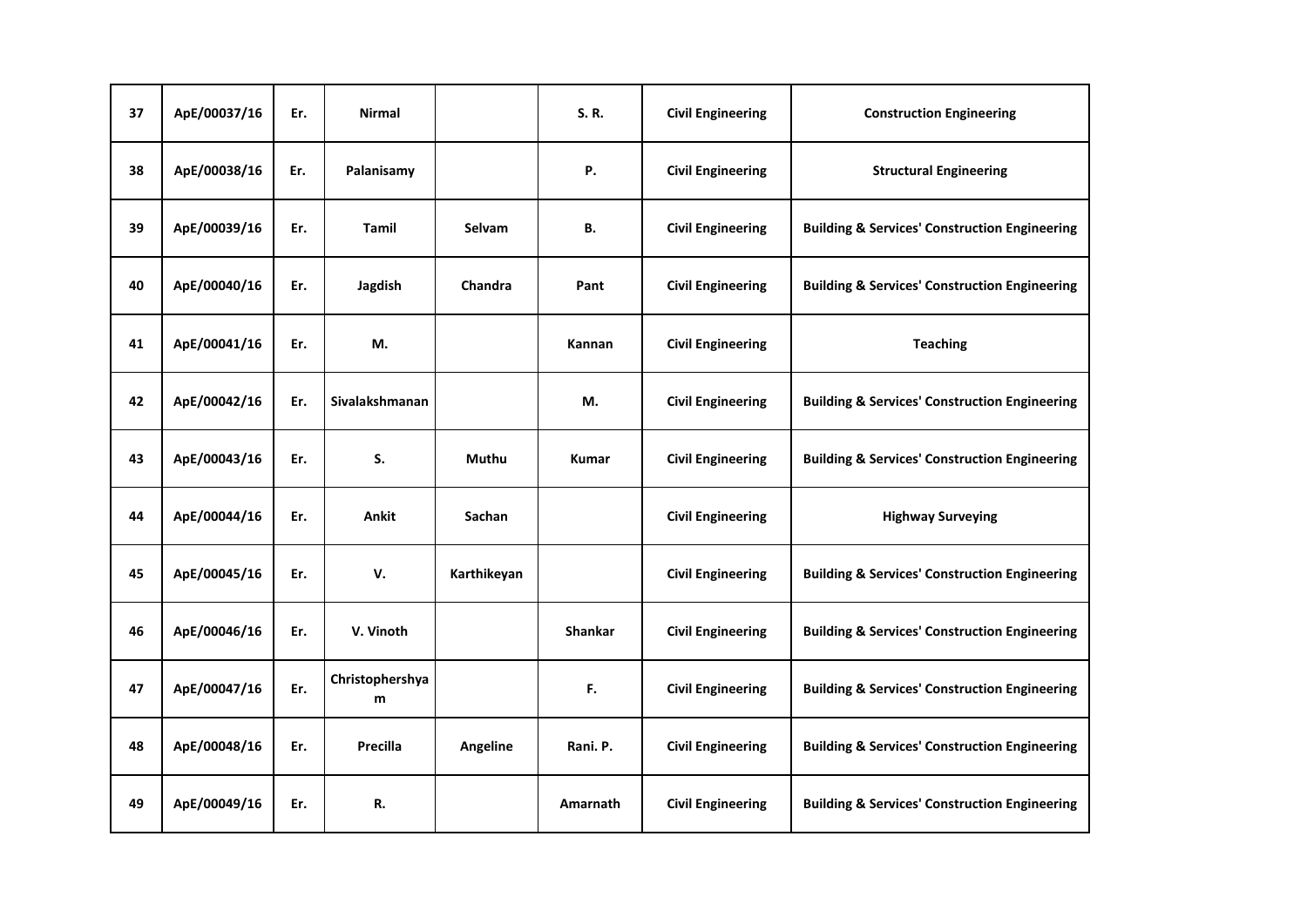| 37 | ApE/00037/16 | Er. | <b>Nirmal</b>        |             | S.R.           | <b>Civil Engineering</b> | <b>Construction Engineering</b>                          |
|----|--------------|-----|----------------------|-------------|----------------|--------------------------|----------------------------------------------------------|
| 38 | ApE/00038/16 | Er. | Palanisamy           |             | Ρ.             | <b>Civil Engineering</b> | <b>Structural Engineering</b>                            |
| 39 | ApE/00039/16 | Er. | <b>Tamil</b>         | Selvam      | В.             | <b>Civil Engineering</b> | <b>Building &amp; Services' Construction Engineering</b> |
| 40 | ApE/00040/16 | Er. | Jagdish              | Chandra     | Pant           | <b>Civil Engineering</b> | <b>Building &amp; Services' Construction Engineering</b> |
| 41 | ApE/00041/16 | Er. | М.                   |             | Kannan         | <b>Civil Engineering</b> | <b>Teaching</b>                                          |
| 42 | ApE/00042/16 | Er. | Sivalakshmanan       |             | М.             | <b>Civil Engineering</b> | <b>Building &amp; Services' Construction Engineering</b> |
| 43 | ApE/00043/16 | Er. | S.                   | Muthu       | <b>Kumar</b>   | <b>Civil Engineering</b> | <b>Building &amp; Services' Construction Engineering</b> |
| 44 | ApE/00044/16 | Er. | Ankit                | Sachan      |                | <b>Civil Engineering</b> | <b>Highway Surveying</b>                                 |
| 45 | ApE/00045/16 | Er. | V.                   | Karthikeyan |                | <b>Civil Engineering</b> | <b>Building &amp; Services' Construction Engineering</b> |
| 46 | ApE/00046/16 | Er. | V. Vinoth            |             | <b>Shankar</b> | <b>Civil Engineering</b> | <b>Building &amp; Services' Construction Engineering</b> |
| 47 | ApE/00047/16 | Er. | Christophershya<br>m |             | F.             | <b>Civil Engineering</b> | <b>Building &amp; Services' Construction Engineering</b> |
| 48 | ApE/00048/16 | Er. | Precilla             | Angeline    | Rani. P.       | <b>Civil Engineering</b> | <b>Building &amp; Services' Construction Engineering</b> |
| 49 | ApE/00049/16 | Er. | R.                   |             | Amarnath       | <b>Civil Engineering</b> | <b>Building &amp; Services' Construction Engineering</b> |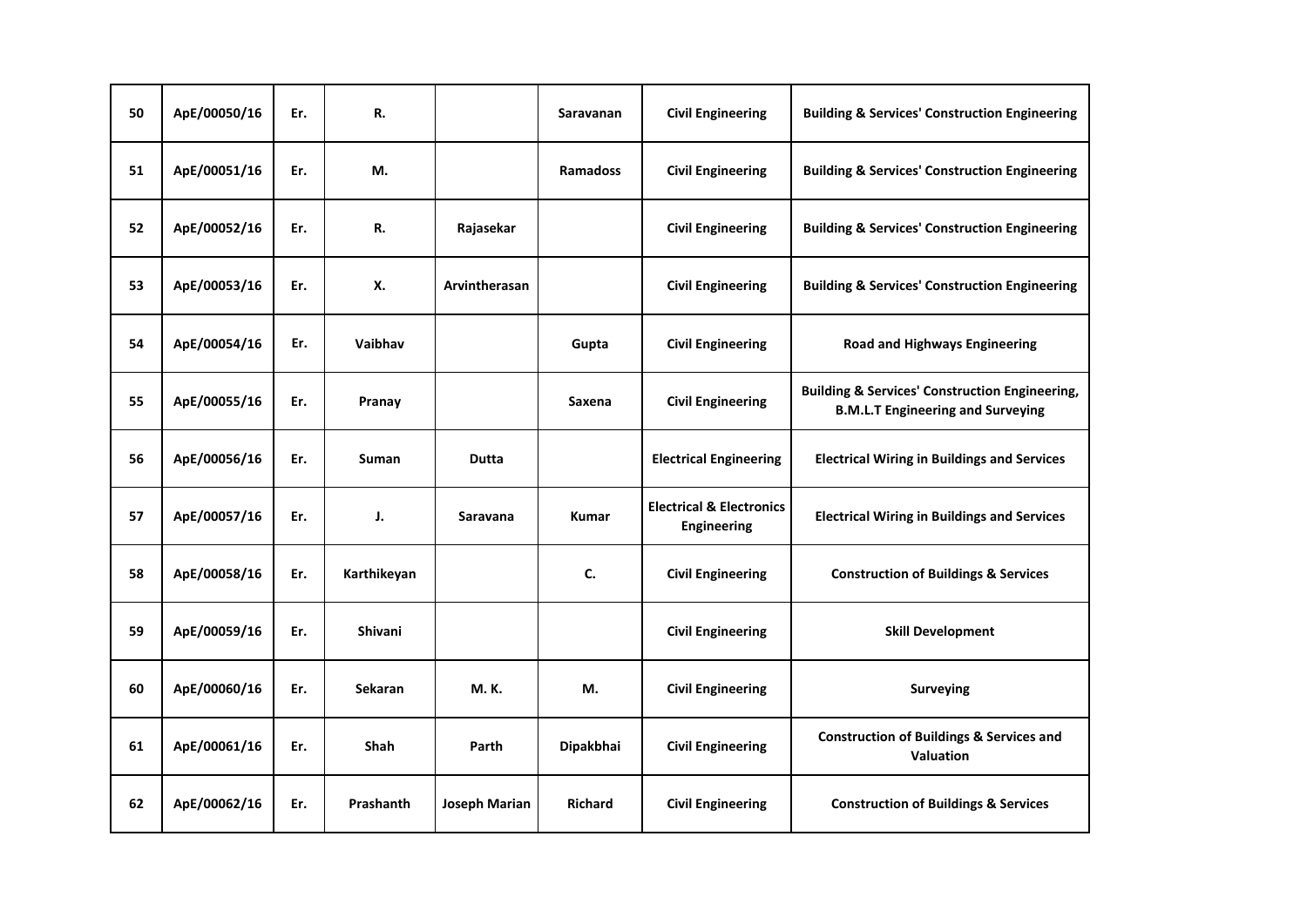| 50 | ApE/00050/16 | Er. | R.          |                 | Saravanan       | <b>Civil Engineering</b>                                  | <b>Building &amp; Services' Construction Engineering</b>                                              |
|----|--------------|-----|-------------|-----------------|-----------------|-----------------------------------------------------------|-------------------------------------------------------------------------------------------------------|
| 51 | ApE/00051/16 | Er. | М.          |                 | <b>Ramadoss</b> | <b>Civil Engineering</b>                                  | <b>Building &amp; Services' Construction Engineering</b>                                              |
| 52 | ApE/00052/16 | Er. | R.          | Rajasekar       |                 | <b>Civil Engineering</b>                                  | <b>Building &amp; Services' Construction Engineering</b>                                              |
| 53 | ApE/00053/16 | Er. | Х.          | Arvintherasan   |                 | <b>Civil Engineering</b>                                  | <b>Building &amp; Services' Construction Engineering</b>                                              |
| 54 | ApE/00054/16 | Er. | Vaibhav     |                 | Gupta           | <b>Civil Engineering</b>                                  | <b>Road and Highways Engineering</b>                                                                  |
| 55 | ApE/00055/16 | Er. | Pranay      |                 | Saxena          | <b>Civil Engineering</b>                                  | <b>Building &amp; Services' Construction Engineering,</b><br><b>B.M.L.T Engineering and Surveying</b> |
| 56 | ApE/00056/16 | Er. | Suman       | <b>Dutta</b>    |                 | <b>Electrical Engineering</b>                             | <b>Electrical Wiring in Buildings and Services</b>                                                    |
| 57 | ApE/00057/16 | Er. | J.          | <b>Saravana</b> | <b>Kumar</b>    | <b>Electrical &amp; Electronics</b><br><b>Engineering</b> | <b>Electrical Wiring in Buildings and Services</b>                                                    |
| 58 | ApE/00058/16 | Er. | Karthikeyan |                 | C.              | <b>Civil Engineering</b>                                  | <b>Construction of Buildings &amp; Services</b>                                                       |
| 59 | ApE/00059/16 | Er. | Shivani     |                 |                 | <b>Civil Engineering</b>                                  | <b>Skill Development</b>                                                                              |
| 60 | ApE/00060/16 | Er. | Sekaran     | <b>M.K.</b>     | М.              | <b>Civil Engineering</b>                                  | <b>Surveying</b>                                                                                      |
| 61 | ApE/00061/16 | Er. | <b>Shah</b> | Parth           | Dipakbhai       | <b>Civil Engineering</b>                                  | <b>Construction of Buildings &amp; Services and</b><br><b>Valuation</b>                               |
| 62 | ApE/00062/16 | Er. | Prashanth   | Joseph Marian   | <b>Richard</b>  | <b>Civil Engineering</b>                                  | <b>Construction of Buildings &amp; Services</b>                                                       |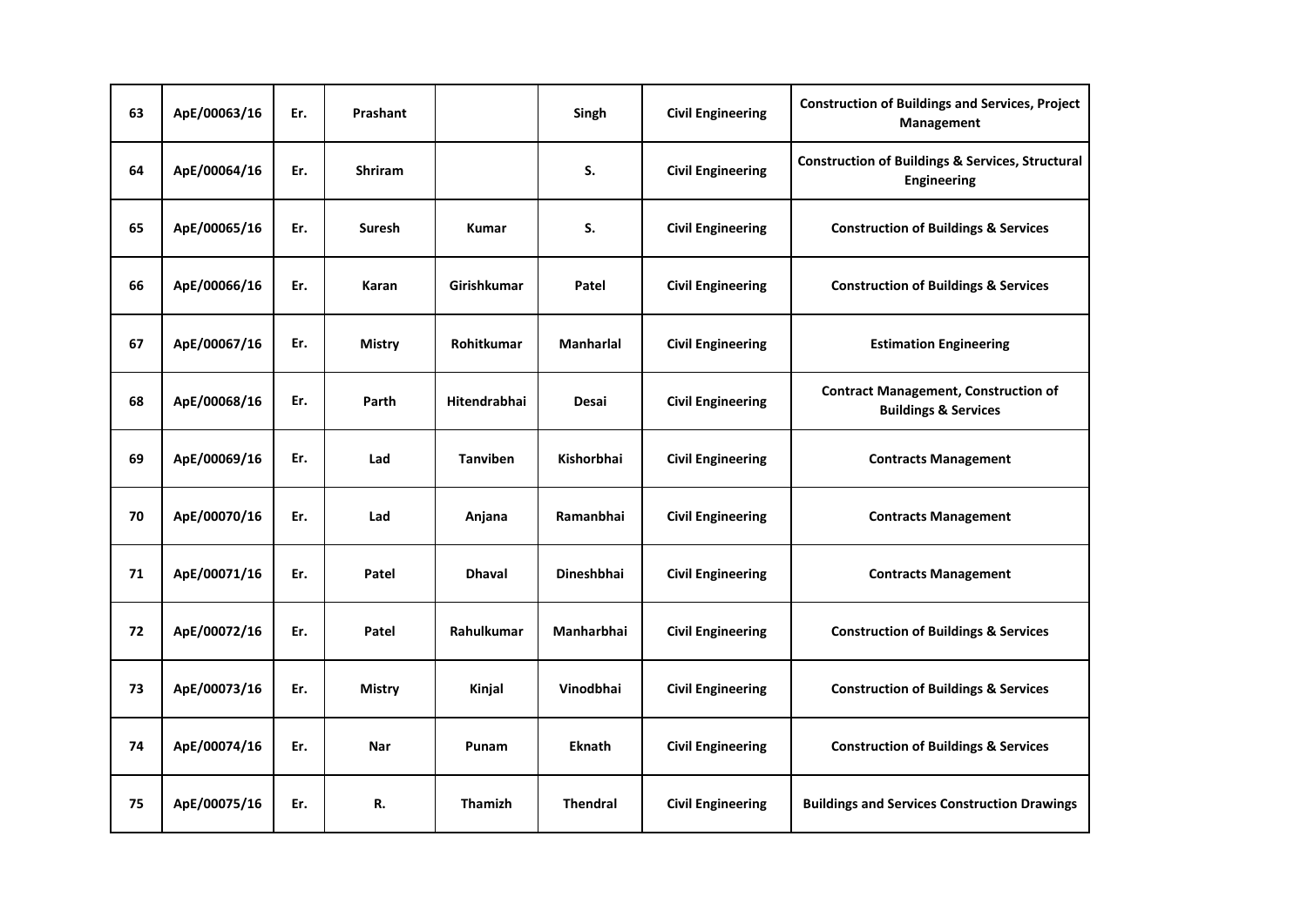| 63 | ApE/00063/16 | Er. | Prashant       |                    | Singh             | <b>Civil Engineering</b> | <b>Construction of Buildings and Services, Project</b><br>Management              |
|----|--------------|-----|----------------|--------------------|-------------------|--------------------------|-----------------------------------------------------------------------------------|
| 64 | ApE/00064/16 | Er. | <b>Shriram</b> |                    | S.                | <b>Civil Engineering</b> | <b>Construction of Buildings &amp; Services, Structural</b><br><b>Engineering</b> |
| 65 | ApE/00065/16 | Er. | Suresh         | <b>Kumar</b>       | S.                | <b>Civil Engineering</b> | <b>Construction of Buildings &amp; Services</b>                                   |
| 66 | ApE/00066/16 | Er. | Karan          | <b>Girishkumar</b> | Patel             | <b>Civil Engineering</b> | <b>Construction of Buildings &amp; Services</b>                                   |
| 67 | ApE/00067/16 | Er. | <b>Mistry</b>  | <b>Rohitkumar</b>  | <b>Manharlal</b>  | <b>Civil Engineering</b> | <b>Estimation Engineering</b>                                                     |
| 68 | ApE/00068/16 | Er. | Parth          | Hitendrabhai       | Desai             | <b>Civil Engineering</b> | <b>Contract Management, Construction of</b><br><b>Buildings &amp; Services</b>    |
| 69 | ApE/00069/16 | Er. | Lad            | <b>Tanviben</b>    | Kishorbhai        | <b>Civil Engineering</b> | <b>Contracts Management</b>                                                       |
| 70 | ApE/00070/16 | Er. | Lad            | Anjana             | Ramanbhai         | <b>Civil Engineering</b> | <b>Contracts Management</b>                                                       |
| 71 | ApE/00071/16 | Er. | Patel          | <b>Dhaval</b>      | <b>Dineshbhai</b> | <b>Civil Engineering</b> | <b>Contracts Management</b>                                                       |
| 72 | ApE/00072/16 | Er. | Patel          | <b>Rahulkumar</b>  | <b>Manharbhai</b> | <b>Civil Engineering</b> | <b>Construction of Buildings &amp; Services</b>                                   |
| 73 | ApE/00073/16 | Er. | <b>Mistry</b>  | Kinjal             | Vinodbhai         | <b>Civil Engineering</b> | <b>Construction of Buildings &amp; Services</b>                                   |
| 74 | ApE/00074/16 | Er. | Nar            | Punam              | <b>Eknath</b>     | <b>Civil Engineering</b> | <b>Construction of Buildings &amp; Services</b>                                   |
| 75 | ApE/00075/16 | Er. | R.             | <b>Thamizh</b>     | <b>Thendral</b>   | <b>Civil Engineering</b> | <b>Buildings and Services Construction Drawings</b>                               |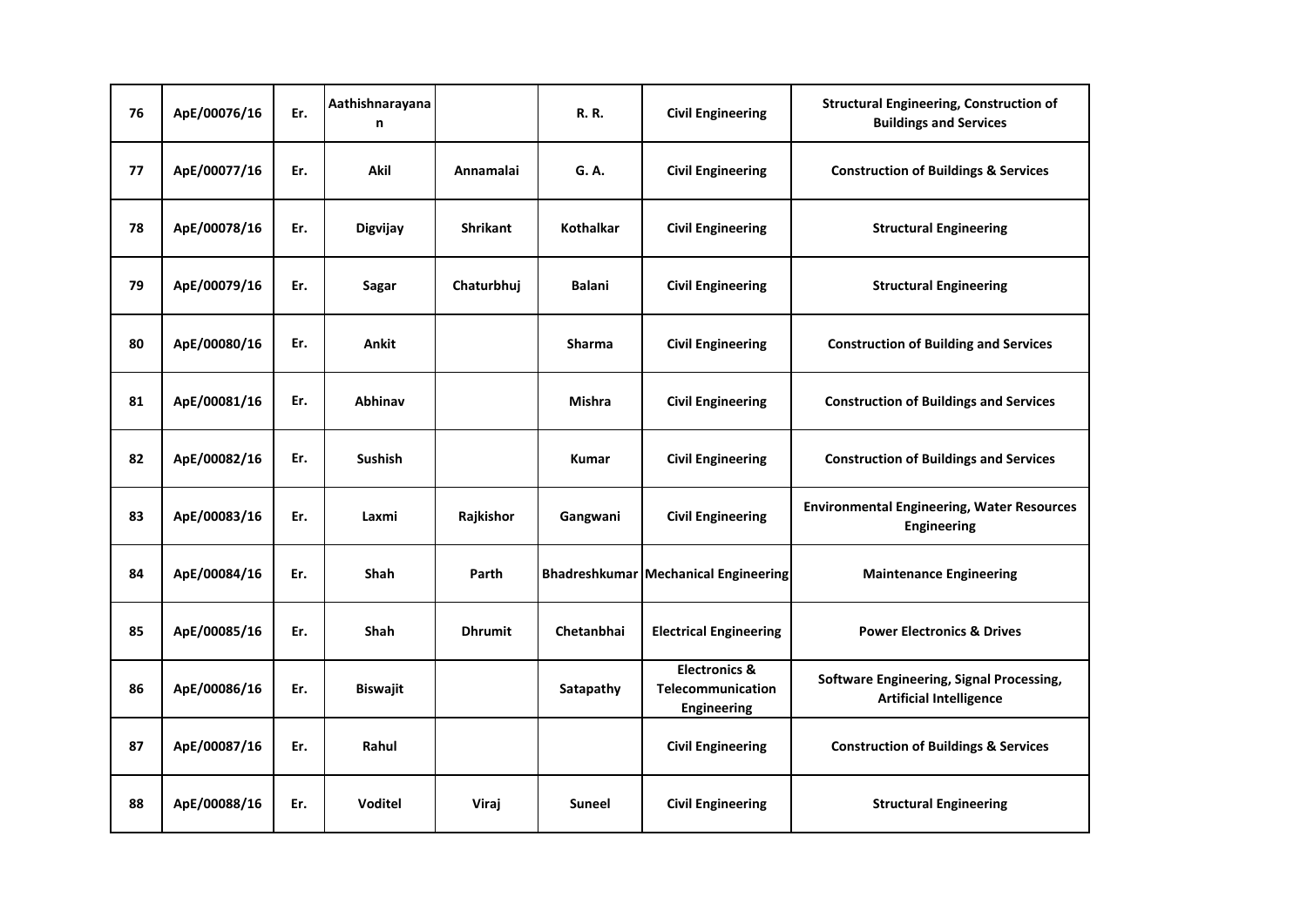| 76 | ApE/00076/16 | Er. | Aathishnarayana<br>n |                 | <b>R.</b> R.     | <b>Civil Engineering</b>                                            | <b>Structural Engineering, Construction of</b><br><b>Buildings and Services</b> |
|----|--------------|-----|----------------------|-----------------|------------------|---------------------------------------------------------------------|---------------------------------------------------------------------------------|
| 77 | ApE/00077/16 | Er. | <b>Akil</b>          | Annamalai       | G. A.            | <b>Civil Engineering</b>                                            | <b>Construction of Buildings &amp; Services</b>                                 |
| 78 | ApE/00078/16 | Er. | Digvijay             | <b>Shrikant</b> | <b>Kothalkar</b> | <b>Civil Engineering</b>                                            | <b>Structural Engineering</b>                                                   |
| 79 | ApE/00079/16 | Er. | Sagar                | Chaturbhuj      | <b>Balani</b>    | <b>Civil Engineering</b>                                            | <b>Structural Engineering</b>                                                   |
| 80 | ApE/00080/16 | Er. | Ankit                |                 | <b>Sharma</b>    | <b>Civil Engineering</b>                                            | <b>Construction of Building and Services</b>                                    |
| 81 | ApE/00081/16 | Er. | Abhinav              |                 | <b>Mishra</b>    | <b>Civil Engineering</b>                                            | <b>Construction of Buildings and Services</b>                                   |
| 82 | ApE/00082/16 | Er. | <b>Sushish</b>       |                 | <b>Kumar</b>     | <b>Civil Engineering</b>                                            | <b>Construction of Buildings and Services</b>                                   |
| 83 | ApE/00083/16 | Er. | Laxmi                | Rajkishor       | Gangwani         | <b>Civil Engineering</b>                                            | <b>Environmental Engineering, Water Resources</b><br><b>Engineering</b>         |
| 84 | ApE/00084/16 | Er. | <b>Shah</b>          | Parth           |                  | <b>Bhadreshkumar Mechanical Engineering</b>                         | <b>Maintenance Engineering</b>                                                  |
| 85 | ApE/00085/16 | Er. | <b>Shah</b>          | <b>Dhrumit</b>  | Chetanbhai       | <b>Electrical Engineering</b>                                       | <b>Power Electronics &amp; Drives</b>                                           |
| 86 | ApE/00086/16 | Er. | <b>Biswajit</b>      |                 | Satapathy        | <b>Electronics &amp;</b><br>Telecommunication<br><b>Engineering</b> | Software Engineering, Signal Processing,<br><b>Artificial Intelligence</b>      |
| 87 | ApE/00087/16 | Er. | Rahul                |                 |                  | <b>Civil Engineering</b>                                            | <b>Construction of Buildings &amp; Services</b>                                 |
| 88 | ApE/00088/16 | Er. | Voditel              | Viraj           | <b>Suneel</b>    | <b>Civil Engineering</b>                                            | <b>Structural Engineering</b>                                                   |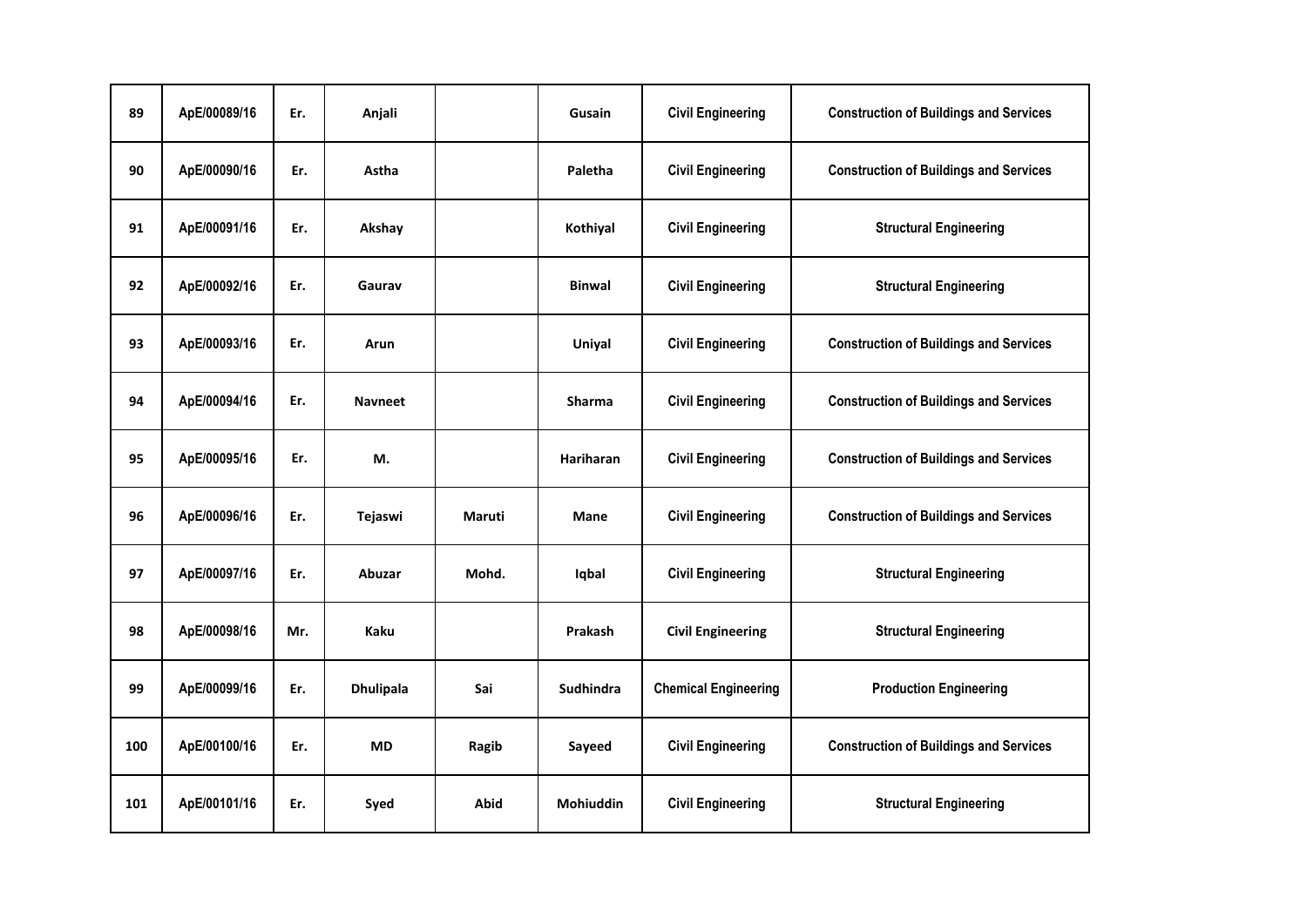| 89  | ApE/00089/16 | Er. | Anjali           |        | Gusain        | <b>Civil Engineering</b>    | <b>Construction of Buildings and Services</b> |
|-----|--------------|-----|------------------|--------|---------------|-----------------------------|-----------------------------------------------|
| 90  | ApE/00090/16 | Er. | Astha            |        | Paletha       | <b>Civil Engineering</b>    | <b>Construction of Buildings and Services</b> |
| 91  | ApE/00091/16 | Er. | Akshay           |        | Kothiyal      | <b>Civil Engineering</b>    | <b>Structural Engineering</b>                 |
| 92  | ApE/00092/16 | Er. | Gaurav           |        | <b>Binwal</b> | <b>Civil Engineering</b>    | <b>Structural Engineering</b>                 |
| 93  | ApE/00093/16 | Er. | Arun             |        | Uniyal        | <b>Civil Engineering</b>    | <b>Construction of Buildings and Services</b> |
| 94  | ApE/00094/16 | Er. | <b>Navneet</b>   |        | Sharma        | <b>Civil Engineering</b>    | <b>Construction of Buildings and Services</b> |
| 95  | ApE/00095/16 | Er. | М.               |        | Hariharan     | <b>Civil Engineering</b>    | <b>Construction of Buildings and Services</b> |
| 96  | ApE/00096/16 | Er. | Tejaswi          | Maruti | <b>Mane</b>   | <b>Civil Engineering</b>    | <b>Construction of Buildings and Services</b> |
| 97  | ApE/00097/16 | Er. | <b>Abuzar</b>    | Mohd.  | Iqbal         | <b>Civil Engineering</b>    | <b>Structural Engineering</b>                 |
| 98  | ApE/00098/16 | Mr. | <b>Kaku</b>      |        | Prakash       | <b>Civil Engineering</b>    | <b>Structural Engineering</b>                 |
| 99  | ApE/00099/16 | Er. | <b>Dhulipala</b> | Sai    | Sudhindra     | <b>Chemical Engineering</b> | <b>Production Engineering</b>                 |
| 100 | ApE/00100/16 | Er. | <b>MD</b>        | Ragib  | Sayeed        | <b>Civil Engineering</b>    | <b>Construction of Buildings and Services</b> |
| 101 | ApE/00101/16 | Er. | Syed             | Abid   | Mohiuddin     | <b>Civil Engineering</b>    | <b>Structural Engineering</b>                 |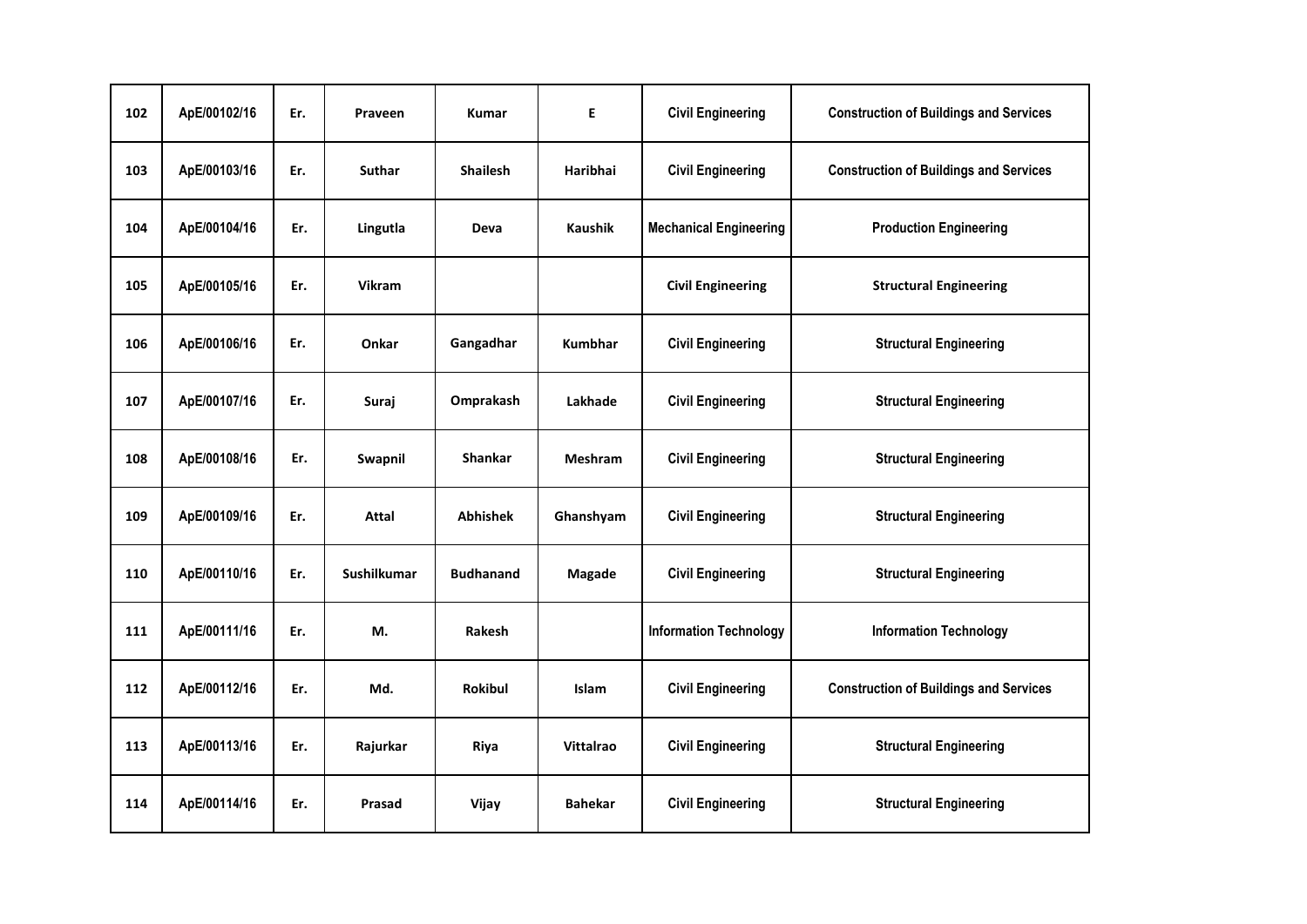| 102 | ApE/00102/16 | Er. | Praveen       | <b>Kumar</b>     | E                | <b>Civil Engineering</b>      | <b>Construction of Buildings and Services</b> |
|-----|--------------|-----|---------------|------------------|------------------|-------------------------------|-----------------------------------------------|
| 103 | ApE/00103/16 | Er. | <b>Suthar</b> | <b>Shailesh</b>  | Haribhai         | <b>Civil Engineering</b>      | <b>Construction of Buildings and Services</b> |
| 104 | ApE/00104/16 | Er. | Lingutla      | <b>Deva</b>      | <b>Kaushik</b>   | <b>Mechanical Engineering</b> | <b>Production Engineering</b>                 |
| 105 | ApE/00105/16 | Er. | <b>Vikram</b> |                  |                  | <b>Civil Engineering</b>      | <b>Structural Engineering</b>                 |
| 106 | ApE/00106/16 | Er. | Onkar         | Gangadhar        | <b>Kumbhar</b>   | <b>Civil Engineering</b>      | <b>Structural Engineering</b>                 |
| 107 | ApE/00107/16 | Er. | Suraj         | Omprakash        | Lakhade          | <b>Civil Engineering</b>      | <b>Structural Engineering</b>                 |
| 108 | ApE/00108/16 | Er. | Swapnil       | <b>Shankar</b>   | <b>Meshram</b>   | <b>Civil Engineering</b>      | <b>Structural Engineering</b>                 |
| 109 | ApE/00109/16 | Er. | <b>Attal</b>  | <b>Abhishek</b>  | Ghanshyam        | <b>Civil Engineering</b>      | <b>Structural Engineering</b>                 |
| 110 | ApE/00110/16 | Er. | Sushilkumar   | <b>Budhanand</b> | Magade           | <b>Civil Engineering</b>      | <b>Structural Engineering</b>                 |
| 111 | ApE/00111/16 | Er. | М.            | Rakesh           |                  | <b>Information Technology</b> | <b>Information Technology</b>                 |
| 112 | ApE/00112/16 | Er. | Md.           | Rokibul          | <b>Islam</b>     | <b>Civil Engineering</b>      | <b>Construction of Buildings and Services</b> |
| 113 | ApE/00113/16 | Er. | Rajurkar      | Riya             | <b>Vittalrao</b> | <b>Civil Engineering</b>      | <b>Structural Engineering</b>                 |
| 114 | ApE/00114/16 | Er. | Prasad        | Vijay            | <b>Bahekar</b>   | <b>Civil Engineering</b>      | <b>Structural Engineering</b>                 |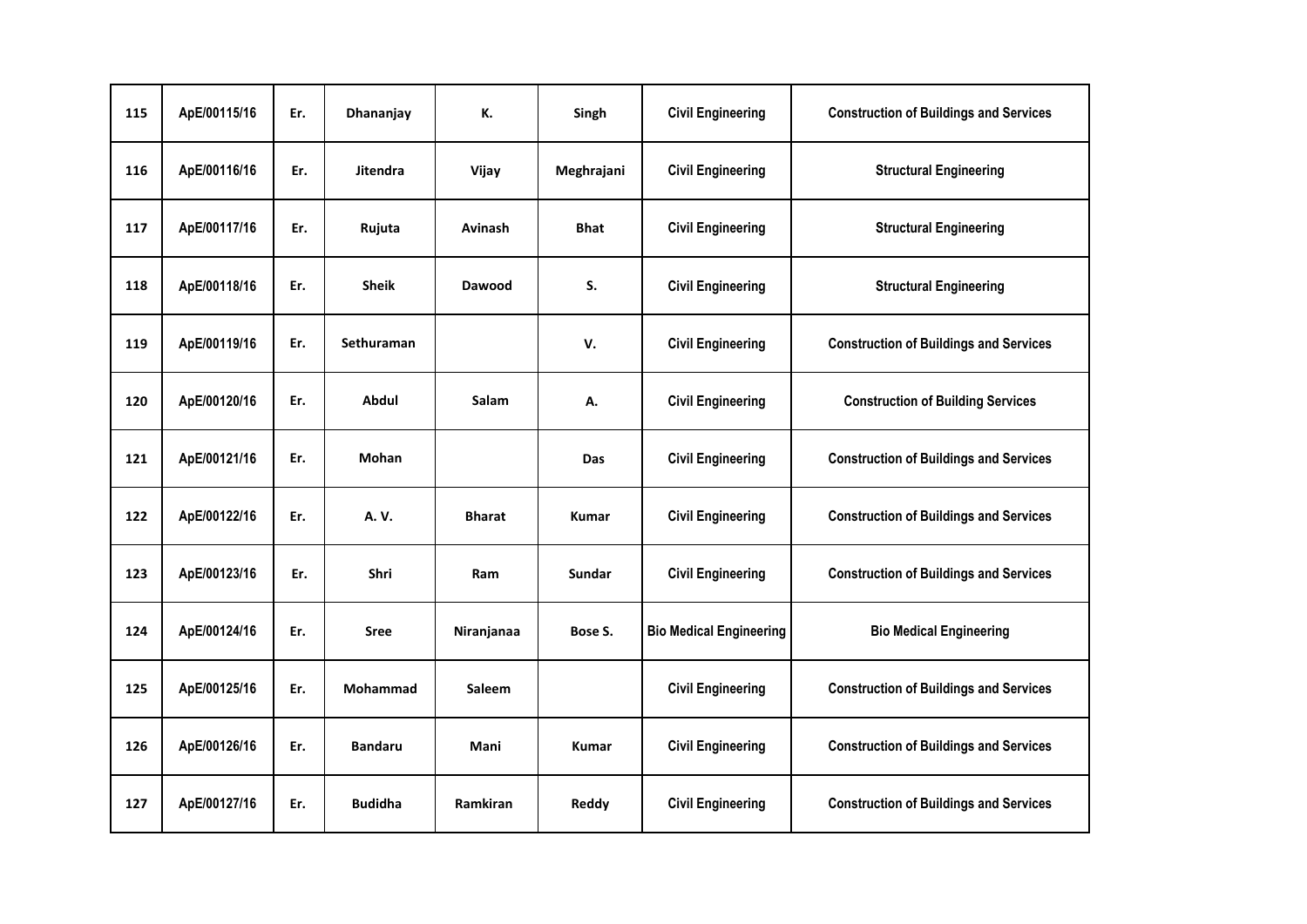| 115 | ApE/00115/16 | Er. | Dhananjay       | К.            | Singh        | <b>Civil Engineering</b>       | <b>Construction of Buildings and Services</b> |
|-----|--------------|-----|-----------------|---------------|--------------|--------------------------------|-----------------------------------------------|
| 116 | ApE/00116/16 | Er. | <b>Jitendra</b> | Vijay         | Meghrajani   | <b>Civil Engineering</b>       | <b>Structural Engineering</b>                 |
| 117 | ApE/00117/16 | Er. | Rujuta          | Avinash       | <b>Bhat</b>  | <b>Civil Engineering</b>       | <b>Structural Engineering</b>                 |
| 118 | ApE/00118/16 | Er. | <b>Sheik</b>    | <b>Dawood</b> | S.           | <b>Civil Engineering</b>       | <b>Structural Engineering</b>                 |
| 119 | ApE/00119/16 | Er. | Sethuraman      |               | V.           | <b>Civil Engineering</b>       | <b>Construction of Buildings and Services</b> |
| 120 | ApE/00120/16 | Er. | Abdul           | Salam         | А.           | <b>Civil Engineering</b>       | <b>Construction of Building Services</b>      |
| 121 | ApE/00121/16 | Er. | Mohan           |               | <b>Das</b>   | <b>Civil Engineering</b>       | <b>Construction of Buildings and Services</b> |
| 122 | ApE/00122/16 | Er. | A. V.           | <b>Bharat</b> | <b>Kumar</b> | <b>Civil Engineering</b>       | <b>Construction of Buildings and Services</b> |
| 123 | ApE/00123/16 | Er. | <b>Shri</b>     | Ram           | Sundar       | <b>Civil Engineering</b>       | <b>Construction of Buildings and Services</b> |
| 124 | ApE/00124/16 | Er. | <b>Sree</b>     | Niranjanaa    | Bose S.      | <b>Bio Medical Engineering</b> | <b>Bio Medical Engineering</b>                |
| 125 | ApE/00125/16 | Er. | <b>Mohammad</b> | Saleem        |              | <b>Civil Engineering</b>       | <b>Construction of Buildings and Services</b> |
| 126 | ApE/00126/16 | Er. | <b>Bandaru</b>  | Mani          | <b>Kumar</b> | <b>Civil Engineering</b>       | <b>Construction of Buildings and Services</b> |
| 127 | ApE/00127/16 | Er. | <b>Budidha</b>  | Ramkiran      | Reddy        | <b>Civil Engineering</b>       | <b>Construction of Buildings and Services</b> |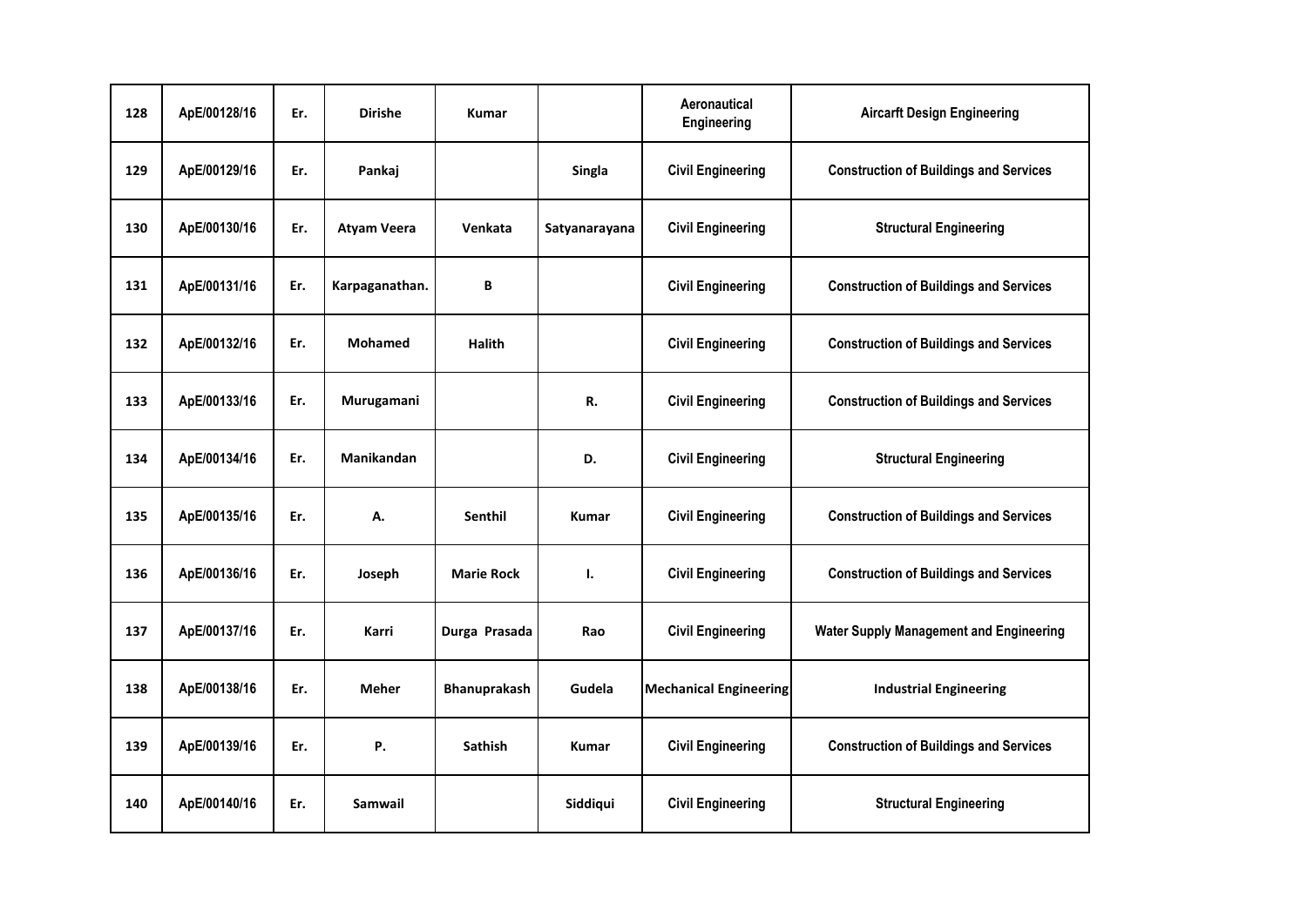| 128 | ApE/00128/16 | Er. | <b>Dirishe</b>     | <b>Kumar</b>        |               | Aeronautical<br>Engineering   | <b>Aircarft Design Engineering</b>             |
|-----|--------------|-----|--------------------|---------------------|---------------|-------------------------------|------------------------------------------------|
| 129 | ApE/00129/16 | Er. | Pankaj             |                     | Singla        | <b>Civil Engineering</b>      | <b>Construction of Buildings and Services</b>  |
| 130 | ApE/00130/16 | Er. | <b>Atyam Veera</b> | Venkata             | Satyanarayana | <b>Civil Engineering</b>      | <b>Structural Engineering</b>                  |
| 131 | ApE/00131/16 | Er. | Karpaganathan.     | В                   |               | <b>Civil Engineering</b>      | <b>Construction of Buildings and Services</b>  |
| 132 | ApE/00132/16 | Er. | <b>Mohamed</b>     | <b>Halith</b>       |               | <b>Civil Engineering</b>      | <b>Construction of Buildings and Services</b>  |
| 133 | ApE/00133/16 | Er. | Murugamani         |                     | R.            | <b>Civil Engineering</b>      | <b>Construction of Buildings and Services</b>  |
| 134 | ApE/00134/16 | Er. | Manikandan         |                     | D.            | <b>Civil Engineering</b>      | <b>Structural Engineering</b>                  |
| 135 | ApE/00135/16 | Er. | А.                 | Senthil             | Kumar         | <b>Civil Engineering</b>      | <b>Construction of Buildings and Services</b>  |
| 136 | ApE/00136/16 | Er. | Joseph             | <b>Marie Rock</b>   | Ι.            | <b>Civil Engineering</b>      | <b>Construction of Buildings and Services</b>  |
| 137 | ApE/00137/16 | Er. | Karri              | Durga Prasada       | Rao           | <b>Civil Engineering</b>      | <b>Water Supply Management and Engineering</b> |
| 138 | ApE/00138/16 | Er. | <b>Meher</b>       | <b>Bhanuprakash</b> | Gudela        | <b>Mechanical Engineering</b> | <b>Industrial Engineering</b>                  |
| 139 | ApE/00139/16 | Er. | Ρ.                 | <b>Sathish</b>      | <b>Kumar</b>  | <b>Civil Engineering</b>      | <b>Construction of Buildings and Services</b>  |
| 140 | ApE/00140/16 | Er. | Samwail            |                     | Siddiqui      | <b>Civil Engineering</b>      | <b>Structural Engineering</b>                  |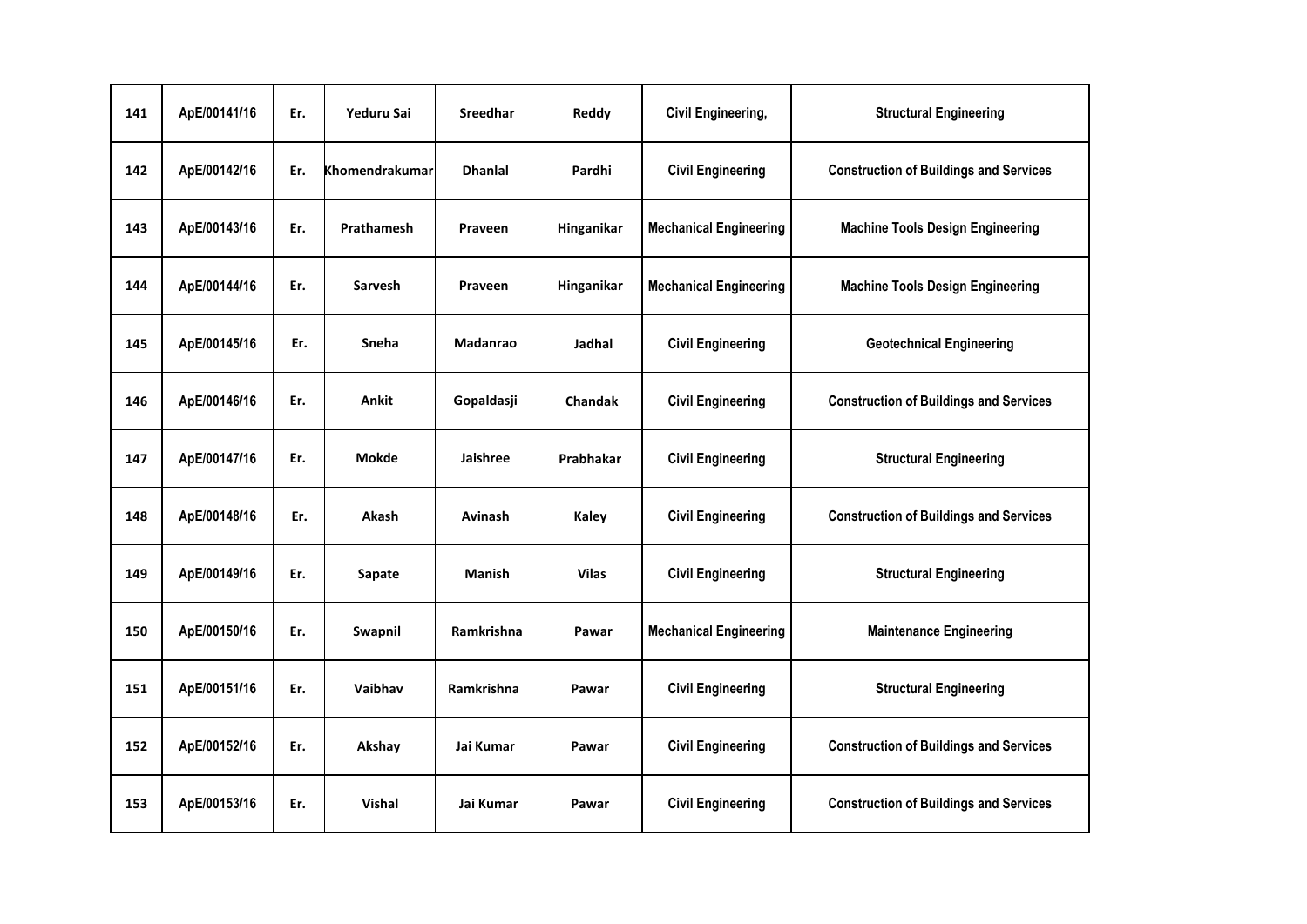| 141 | ApE/00141/16 | Er. | Yeduru Sai     | Sreedhar        | Reddy          | <b>Civil Engineering,</b>     | <b>Structural Engineering</b>                 |
|-----|--------------|-----|----------------|-----------------|----------------|-------------------------------|-----------------------------------------------|
| 142 | ApE/00142/16 | Er. | Khomendrakumar | <b>Dhanlal</b>  | Pardhi         | <b>Civil Engineering</b>      | <b>Construction of Buildings and Services</b> |
| 143 | ApE/00143/16 | Er. | Prathamesh     | Praveen         | Hinganikar     | <b>Mechanical Engineering</b> | <b>Machine Tools Design Engineering</b>       |
| 144 | ApE/00144/16 | Er. | Sarvesh        | Praveen         | Hinganikar     | <b>Mechanical Engineering</b> | <b>Machine Tools Design Engineering</b>       |
| 145 | ApE/00145/16 | Er. | Sneha          | <b>Madanrao</b> | Jadhal         | <b>Civil Engineering</b>      | <b>Geotechnical Engineering</b>               |
| 146 | ApE/00146/16 | Er. | <b>Ankit</b>   | Gopaldasji      | <b>Chandak</b> | <b>Civil Engineering</b>      | <b>Construction of Buildings and Services</b> |
| 147 | ApE/00147/16 | Er. | Mokde          | <b>Jaishree</b> | Prabhakar      | <b>Civil Engineering</b>      | <b>Structural Engineering</b>                 |
| 148 | ApE/00148/16 | Er. | Akash          | Avinash         | Kaley          | <b>Civil Engineering</b>      | <b>Construction of Buildings and Services</b> |
| 149 | ApE/00149/16 | Er. | Sapate         | <b>Manish</b>   | <b>Vilas</b>   | <b>Civil Engineering</b>      | <b>Structural Engineering</b>                 |
| 150 | ApE/00150/16 | Er. | Swapnil        | Ramkrishna      | Pawar          | <b>Mechanical Engineering</b> | <b>Maintenance Engineering</b>                |
| 151 | ApE/00151/16 | Er. | Vaibhav        | Ramkrishna      | Pawar          | <b>Civil Engineering</b>      | <b>Structural Engineering</b>                 |
| 152 | ApE/00152/16 | Er. | Akshay         | Jai Kumar       | Pawar          | <b>Civil Engineering</b>      | <b>Construction of Buildings and Services</b> |
| 153 | ApE/00153/16 | Er. | Vishal         | Jai Kumar       | Pawar          | <b>Civil Engineering</b>      | <b>Construction of Buildings and Services</b> |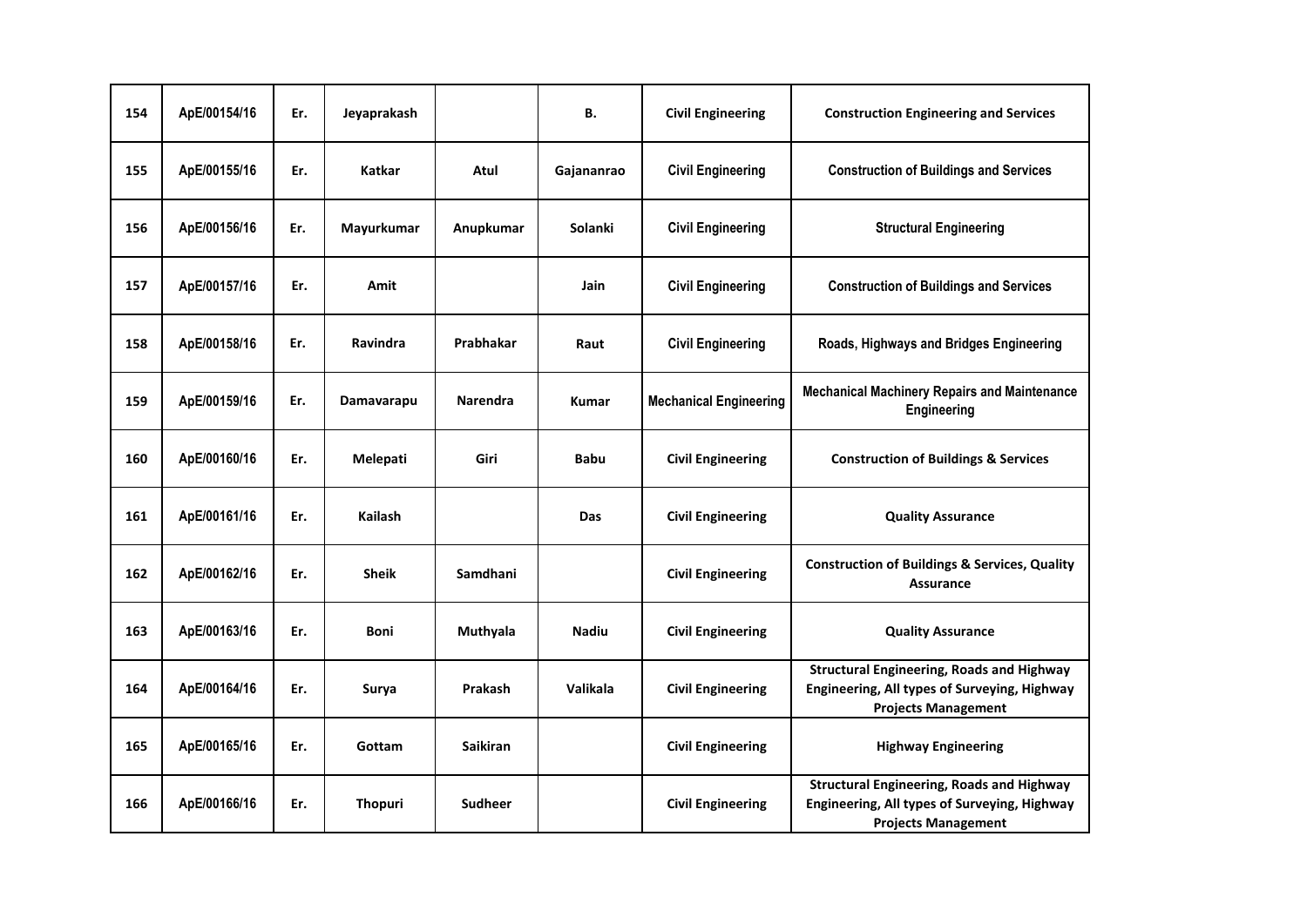| 154 | ApE/00154/16 | Er. | Jeyaprakash    |                 | В.           | <b>Civil Engineering</b>      | <b>Construction Engineering and Services</b>                                                                                   |
|-----|--------------|-----|----------------|-----------------|--------------|-------------------------------|--------------------------------------------------------------------------------------------------------------------------------|
| 155 | ApE/00155/16 | Er. | <b>Katkar</b>  | Atul            | Gajananrao   | <b>Civil Engineering</b>      | <b>Construction of Buildings and Services</b>                                                                                  |
| 156 | ApE/00156/16 | Er. | Mayurkumar     | Anupkumar       | Solanki      | <b>Civil Engineering</b>      | <b>Structural Engineering</b>                                                                                                  |
| 157 | ApE/00157/16 | Er. | Amit           |                 | Jain         | <b>Civil Engineering</b>      | <b>Construction of Buildings and Services</b>                                                                                  |
| 158 | ApE/00158/16 | Er. | Ravindra       | Prabhakar       | Raut         | <b>Civil Engineering</b>      | Roads, Highways and Bridges Engineering                                                                                        |
| 159 | ApE/00159/16 | Er. | Damavarapu     | <b>Narendra</b> | <b>Kumar</b> | <b>Mechanical Engineering</b> | <b>Mechanical Machinery Repairs and Maintenance</b><br>Engineering                                                             |
| 160 | ApE/00160/16 | Er. | Melepati       | Giri            | <b>Babu</b>  | <b>Civil Engineering</b>      | <b>Construction of Buildings &amp; Services</b>                                                                                |
| 161 | ApE/00161/16 | Er. | <b>Kailash</b> |                 | Das          | <b>Civil Engineering</b>      | <b>Quality Assurance</b>                                                                                                       |
| 162 | ApE/00162/16 | Er. | <b>Sheik</b>   | Samdhani        |              | <b>Civil Engineering</b>      | <b>Construction of Buildings &amp; Services, Quality</b><br><b>Assurance</b>                                                   |
| 163 | ApE/00163/16 | Er. | <b>Boni</b>    | Muthyala        | <b>Nadiu</b> | <b>Civil Engineering</b>      | <b>Quality Assurance</b>                                                                                                       |
| 164 | ApE/00164/16 | Er. | Surya          | Prakash         | Valikala     | <b>Civil Engineering</b>      | <b>Structural Engineering, Roads and Highway</b><br>Engineering, All types of Surveying, Highway<br><b>Projects Management</b> |
| 165 | ApE/00165/16 | Er. | Gottam         | <b>Saikiran</b> |              | <b>Civil Engineering</b>      | <b>Highway Engineering</b>                                                                                                     |
| 166 | ApE/00166/16 | Er. | <b>Thopuri</b> | Sudheer         |              | <b>Civil Engineering</b>      | <b>Structural Engineering, Roads and Highway</b><br>Engineering, All types of Surveying, Highway<br><b>Projects Management</b> |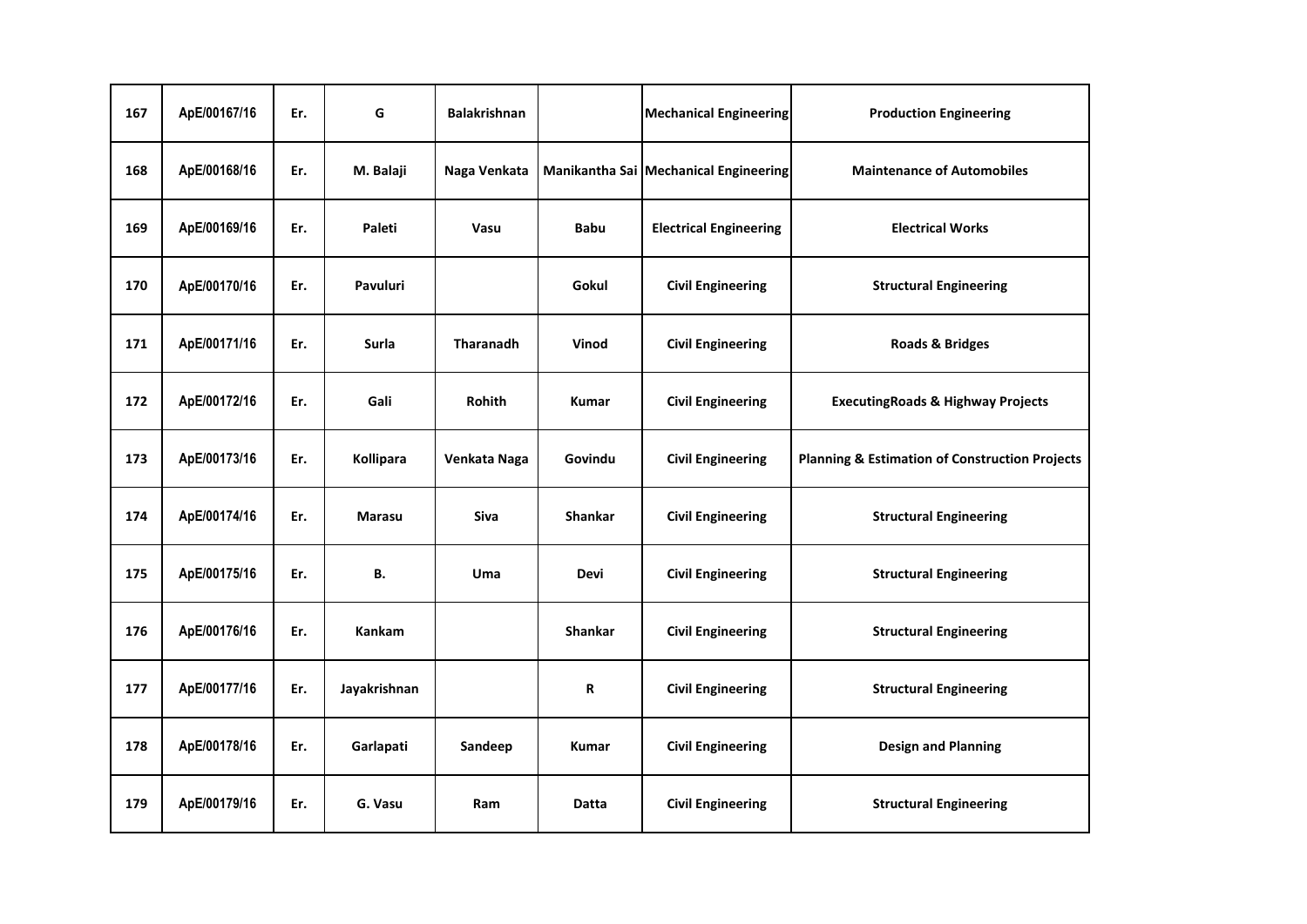| 167 | ApE/00167/16 | Er. | G               | <b>Balakrishnan</b> |                | <b>Mechanical Engineering</b>         | <b>Production Engineering</b>                             |
|-----|--------------|-----|-----------------|---------------------|----------------|---------------------------------------|-----------------------------------------------------------|
| 168 | ApE/00168/16 | Er. | M. Balaji       | Naga Venkata        |                | Manikantha Sai Mechanical Engineering | <b>Maintenance of Automobiles</b>                         |
| 169 | ApE/00169/16 | Er. | Paleti          | Vasu                | <b>Babu</b>    | <b>Electrical Engineering</b>         | <b>Electrical Works</b>                                   |
| 170 | ApE/00170/16 | Er. | <b>Pavuluri</b> |                     | Gokul          | <b>Civil Engineering</b>              | <b>Structural Engineering</b>                             |
| 171 | ApE/00171/16 | Er. | <b>Surla</b>    | <b>Tharanadh</b>    | Vinod          | <b>Civil Engineering</b>              | <b>Roads &amp; Bridges</b>                                |
| 172 | ApE/00172/16 | Er. | Gali            | Rohith              | <b>Kumar</b>   | <b>Civil Engineering</b>              | <b>ExecutingRoads &amp; Highway Projects</b>              |
| 173 | ApE/00173/16 | Er. | Kollipara       | Venkata Naga        | Govindu        | <b>Civil Engineering</b>              | <b>Planning &amp; Estimation of Construction Projects</b> |
| 174 | ApE/00174/16 | Er. | <b>Marasu</b>   | <b>Siva</b>         | <b>Shankar</b> | <b>Civil Engineering</b>              | <b>Structural Engineering</b>                             |
| 175 | ApE/00175/16 | Er. | В.              | Uma                 | <b>Devi</b>    | <b>Civil Engineering</b>              | <b>Structural Engineering</b>                             |
| 176 | ApE/00176/16 | Er. | <b>Kankam</b>   |                     | <b>Shankar</b> | <b>Civil Engineering</b>              | <b>Structural Engineering</b>                             |
| 177 | ApE/00177/16 | Er. | Jayakrishnan    |                     | R              | <b>Civil Engineering</b>              | <b>Structural Engineering</b>                             |
| 178 | ApE/00178/16 | Er. | Garlapati       | Sandeep             | <b>Kumar</b>   | <b>Civil Engineering</b>              | <b>Design and Planning</b>                                |
| 179 | ApE/00179/16 | Er. | G. Vasu         | Ram                 | Datta          | <b>Civil Engineering</b>              | <b>Structural Engineering</b>                             |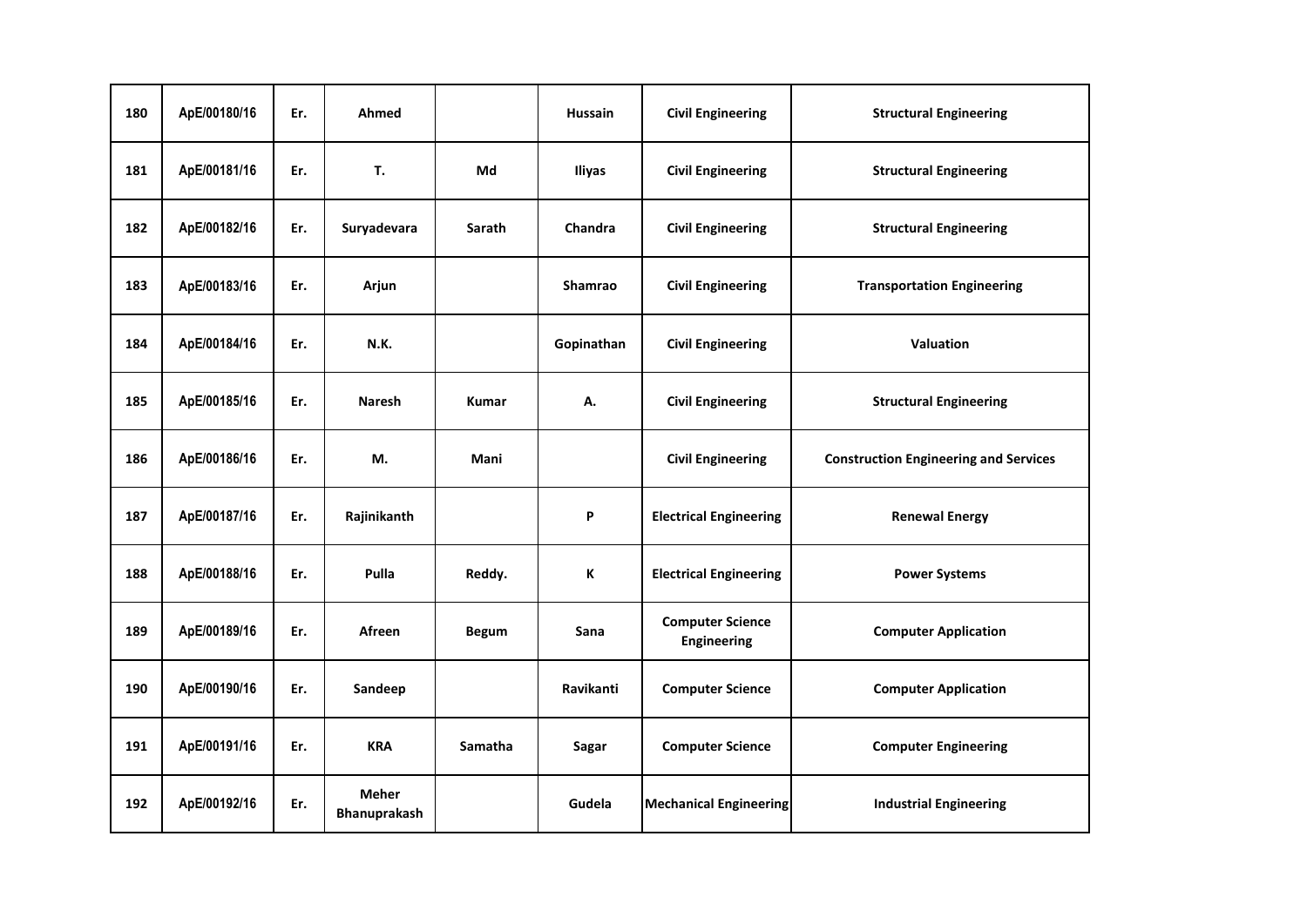| 180 | ApE/00180/16 | Er. | Ahmed                               |               | <b>Hussain</b> | <b>Civil Engineering</b>               | <b>Structural Engineering</b>                |
|-----|--------------|-----|-------------------------------------|---------------|----------------|----------------------------------------|----------------------------------------------|
| 181 | ApE/00181/16 | Er. | T.                                  | Md            | Iliyas         | <b>Civil Engineering</b>               | <b>Structural Engineering</b>                |
| 182 | ApE/00182/16 | Er. | Suryadevara                         | <b>Sarath</b> | Chandra        | <b>Civil Engineering</b>               | <b>Structural Engineering</b>                |
| 183 | ApE/00183/16 | Er. | Arjun                               |               | Shamrao        | <b>Civil Engineering</b>               | <b>Transportation Engineering</b>            |
| 184 | ApE/00184/16 | Er. | <b>N.K.</b>                         |               | Gopinathan     | <b>Civil Engineering</b>               | Valuation                                    |
| 185 | ApE/00185/16 | Er. | <b>Naresh</b>                       | <b>Kumar</b>  | А.             | <b>Civil Engineering</b>               | <b>Structural Engineering</b>                |
| 186 | ApE/00186/16 | Er. | М.                                  | Mani          |                | <b>Civil Engineering</b>               | <b>Construction Engineering and Services</b> |
| 187 | ApE/00187/16 | Er. | Rajinikanth                         |               | P              | <b>Electrical Engineering</b>          | <b>Renewal Energy</b>                        |
| 188 | ApE/00188/16 | Er. | Pulla                               | Reddy.        | K              | <b>Electrical Engineering</b>          | <b>Power Systems</b>                         |
| 189 | ApE/00189/16 | Er. | Afreen                              | <b>Begum</b>  | Sana           | <b>Computer Science</b><br>Engineering | <b>Computer Application</b>                  |
| 190 | ApE/00190/16 | Er. | Sandeep                             |               | Ravikanti      | <b>Computer Science</b>                | <b>Computer Application</b>                  |
| 191 | ApE/00191/16 | Er. | <b>KRA</b>                          | Samatha       | Sagar          | <b>Computer Science</b>                | <b>Computer Engineering</b>                  |
| 192 | ApE/00192/16 | Er. | <b>Meher</b><br><b>Bhanuprakash</b> |               | Gudela         | <b>Mechanical Engineering</b>          | <b>Industrial Engineering</b>                |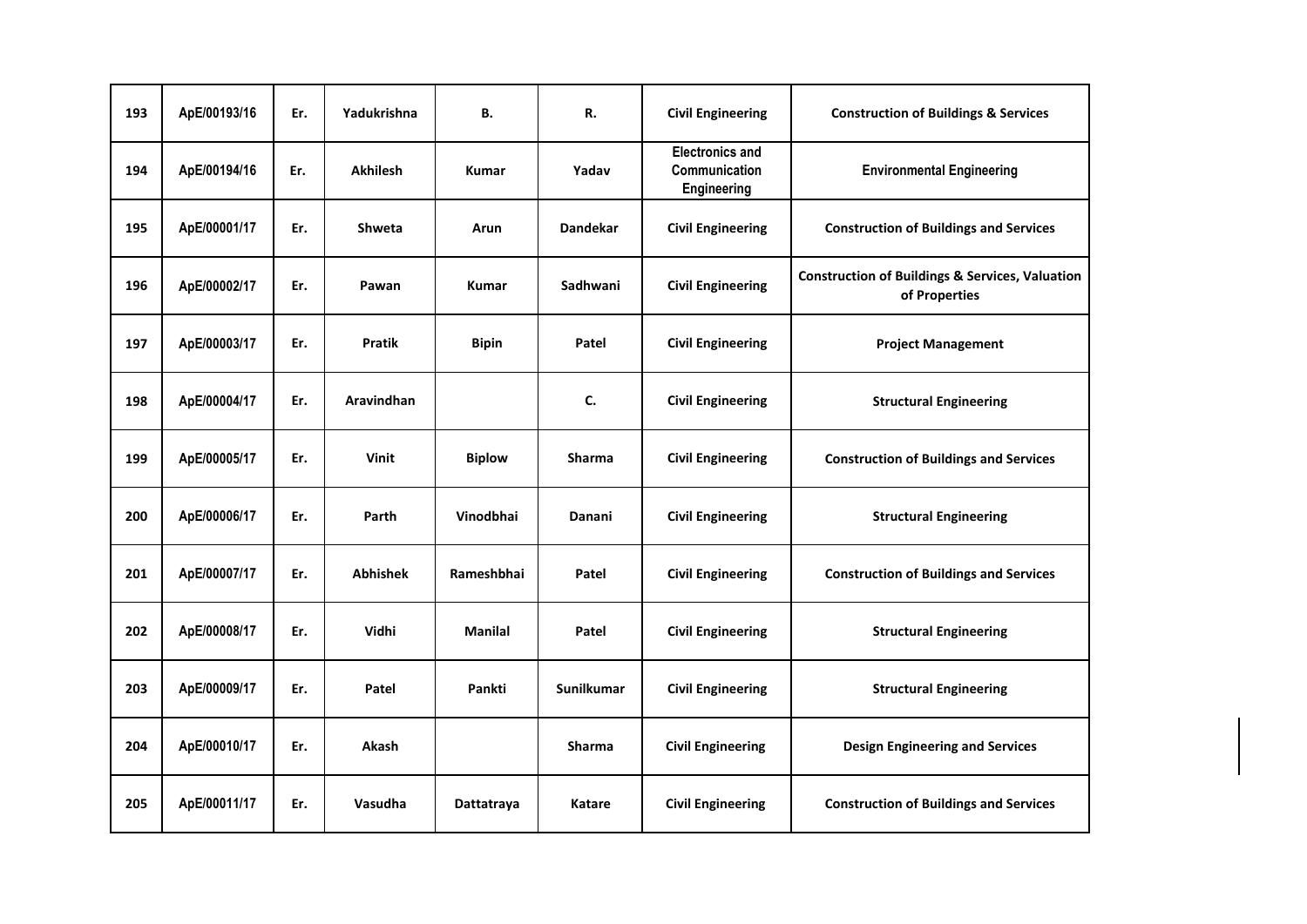| 193 | ApE/00193/16 | Er. | Yadukrishna       | В.             | R.                | <b>Civil Engineering</b>                               | <b>Construction of Buildings &amp; Services</b>                             |
|-----|--------------|-----|-------------------|----------------|-------------------|--------------------------------------------------------|-----------------------------------------------------------------------------|
| 194 | ApE/00194/16 | Er. | <b>Akhilesh</b>   | <b>Kumar</b>   | Yadav             | <b>Electronics and</b><br>Communication<br>Engineering | <b>Environmental Engineering</b>                                            |
| 195 | ApE/00001/17 | Er. | <b>Shweta</b>     | Arun           | <b>Dandekar</b>   | <b>Civil Engineering</b>                               | <b>Construction of Buildings and Services</b>                               |
| 196 | ApE/00002/17 | Er. | Pawan             | <b>Kumar</b>   | Sadhwani          | <b>Civil Engineering</b>                               | <b>Construction of Buildings &amp; Services, Valuation</b><br>of Properties |
| 197 | ApE/00003/17 | Er. | <b>Pratik</b>     | <b>Bipin</b>   | Patel             | <b>Civil Engineering</b>                               | <b>Project Management</b>                                                   |
| 198 | ApE/00004/17 | Er. | <b>Aravindhan</b> |                | C.                | <b>Civil Engineering</b>                               | <b>Structural Engineering</b>                                               |
| 199 | ApE/00005/17 | Er. | <b>Vinit</b>      | <b>Biplow</b>  | <b>Sharma</b>     | <b>Civil Engineering</b>                               | <b>Construction of Buildings and Services</b>                               |
| 200 | ApE/00006/17 | Er. | Parth             | Vinodbhai      | Danani            | <b>Civil Engineering</b>                               | <b>Structural Engineering</b>                                               |
| 201 | ApE/00007/17 | Er. | <b>Abhishek</b>   | Rameshbhai     | Patel             | <b>Civil Engineering</b>                               | <b>Construction of Buildings and Services</b>                               |
| 202 | ApE/00008/17 | Er. | Vidhi             | <b>Manilal</b> | Patel             | <b>Civil Engineering</b>                               | <b>Structural Engineering</b>                                               |
| 203 | ApE/00009/17 | Er. | Patel             | Pankti         | <b>Sunilkumar</b> | <b>Civil Engineering</b>                               | <b>Structural Engineering</b>                                               |
| 204 | ApE/00010/17 | Er. | Akash             |                | Sharma            | <b>Civil Engineering</b>                               | <b>Design Engineering and Services</b>                                      |
| 205 | ApE/00011/17 | Er. | Vasudha           | Dattatraya     | Katare            | <b>Civil Engineering</b>                               | <b>Construction of Buildings and Services</b>                               |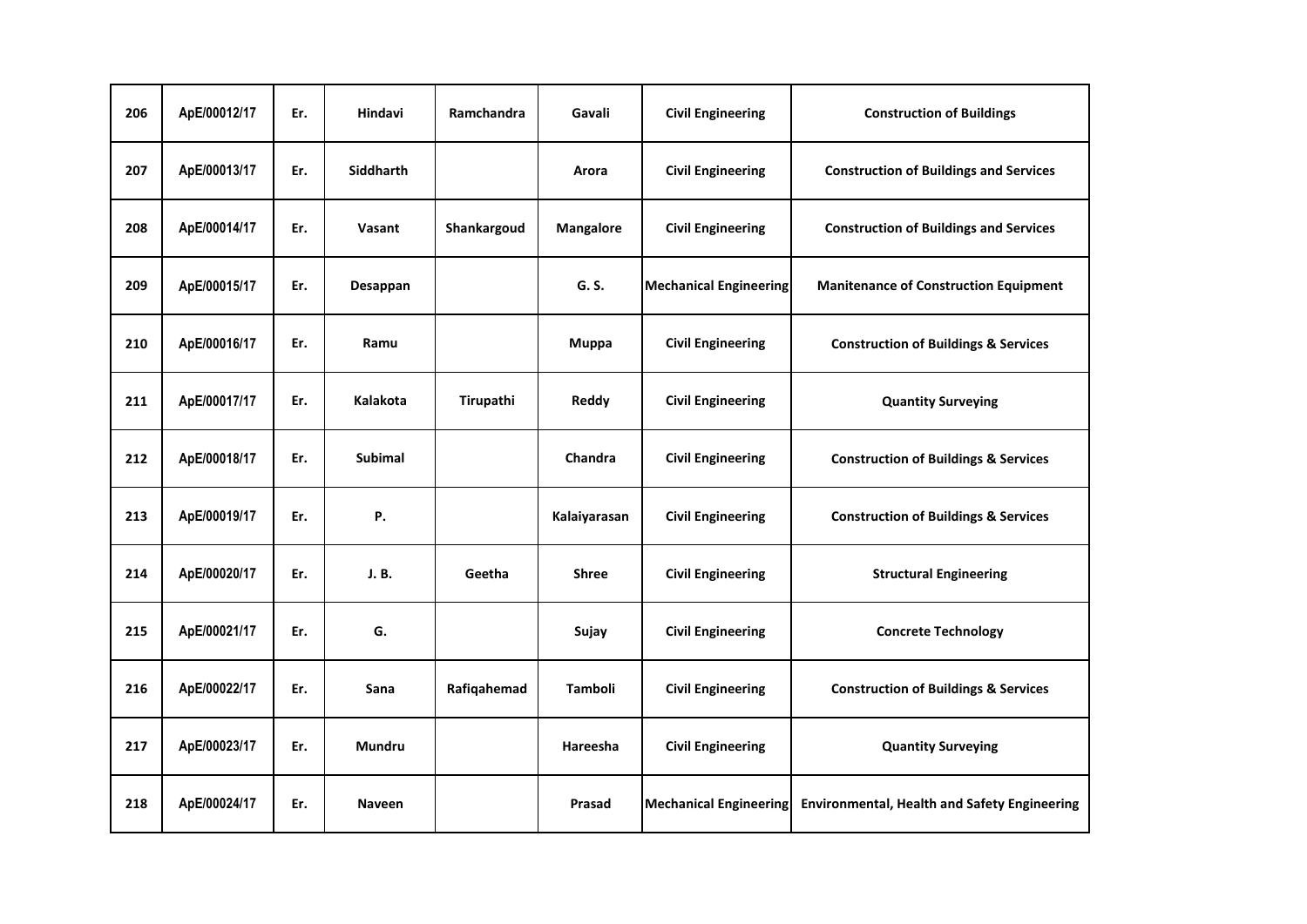| 206 | ApE/00012/17 | Er. | Hindavi          | Ramchandra  | Gavali           | <b>Civil Engineering</b>      | <b>Construction of Buildings</b>                    |
|-----|--------------|-----|------------------|-------------|------------------|-------------------------------|-----------------------------------------------------|
| 207 | ApE/00013/17 | Er. | <b>Siddharth</b> |             | Arora            | <b>Civil Engineering</b>      | <b>Construction of Buildings and Services</b>       |
| 208 | ApE/00014/17 | Er. | Vasant           | Shankargoud | <b>Mangalore</b> | <b>Civil Engineering</b>      | <b>Construction of Buildings and Services</b>       |
| 209 | ApE/00015/17 | Er. | Desappan         |             | G. S.            | <b>Mechanical Engineering</b> | <b>Manitenance of Construction Equipment</b>        |
| 210 | ApE/00016/17 | Er. | Ramu             |             | Muppa            | <b>Civil Engineering</b>      | <b>Construction of Buildings &amp; Services</b>     |
| 211 | ApE/00017/17 | Er. | Kalakota         | Tirupathi   | Reddy            | <b>Civil Engineering</b>      | <b>Quantity Surveying</b>                           |
| 212 | ApE/00018/17 | Er. | <b>Subimal</b>   |             | <b>Chandra</b>   | <b>Civil Engineering</b>      | <b>Construction of Buildings &amp; Services</b>     |
| 213 | ApE/00019/17 | Er. | Ρ.               |             | Kalaiyarasan     | <b>Civil Engineering</b>      | <b>Construction of Buildings &amp; Services</b>     |
| 214 | ApE/00020/17 | Er. | J.B.             | Geetha      | <b>Shree</b>     | <b>Civil Engineering</b>      | <b>Structural Engineering</b>                       |
| 215 | ApE/00021/17 | Er. | G.               |             | Sujay            | <b>Civil Engineering</b>      | <b>Concrete Technology</b>                          |
| 216 | ApE/00022/17 | Er. | Sana             | Rafiqahemad | Tamboli          | <b>Civil Engineering</b>      | <b>Construction of Buildings &amp; Services</b>     |
| 217 | ApE/00023/17 | Er. | <b>Mundru</b>    |             | Hareesha         | <b>Civil Engineering</b>      | <b>Quantity Surveying</b>                           |
| 218 | ApE/00024/17 | Er. | <b>Naveen</b>    |             | Prasad           | <b>Mechanical Engineering</b> | <b>Environmental, Health and Safety Engineering</b> |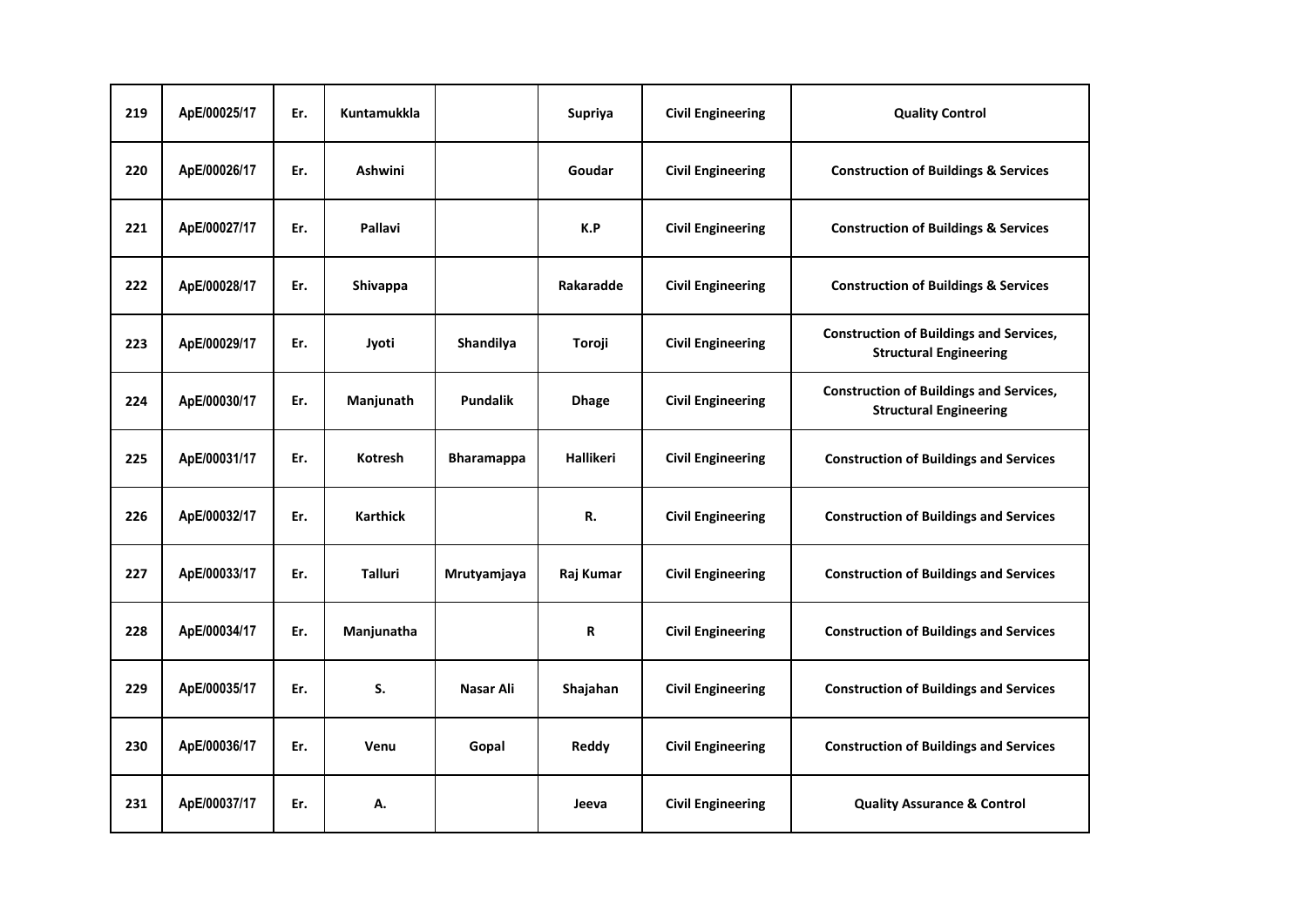| 219 | ApE/00025/17 | Er. | <b>Kuntamukkla</b> |                   | <b>Supriya</b> | <b>Civil Engineering</b> | <b>Quality Control</b>                                                          |
|-----|--------------|-----|--------------------|-------------------|----------------|--------------------------|---------------------------------------------------------------------------------|
| 220 | ApE/00026/17 | Er. | <b>Ashwini</b>     |                   | Goudar         | <b>Civil Engineering</b> | <b>Construction of Buildings &amp; Services</b>                                 |
| 221 | ApE/00027/17 | Er. | <b>Pallavi</b>     |                   | K.P            | <b>Civil Engineering</b> | <b>Construction of Buildings &amp; Services</b>                                 |
| 222 | ApE/00028/17 | Er. | Shivappa           |                   | Rakaradde      | <b>Civil Engineering</b> | <b>Construction of Buildings &amp; Services</b>                                 |
| 223 | ApE/00029/17 | Er. | Jyoti              | Shandilya         | Toroji         | <b>Civil Engineering</b> | <b>Construction of Buildings and Services,</b><br><b>Structural Engineering</b> |
| 224 | ApE/00030/17 | Er. | Manjunath          | <b>Pundalik</b>   | <b>Dhage</b>   | <b>Civil Engineering</b> | <b>Construction of Buildings and Services,</b><br><b>Structural Engineering</b> |
| 225 | ApE/00031/17 | Er. | <b>Kotresh</b>     | <b>Bharamappa</b> | Hallikeri      | <b>Civil Engineering</b> | <b>Construction of Buildings and Services</b>                                   |
| 226 | ApE/00032/17 | Er. | <b>Karthick</b>    |                   | R.             | <b>Civil Engineering</b> | <b>Construction of Buildings and Services</b>                                   |
| 227 | ApE/00033/17 | Er. | <b>Talluri</b>     | Mrutyamjaya       | Raj Kumar      | <b>Civil Engineering</b> | <b>Construction of Buildings and Services</b>                                   |
| 228 | ApE/00034/17 | Er. | Manjunatha         |                   | R              | <b>Civil Engineering</b> | <b>Construction of Buildings and Services</b>                                   |
| 229 | ApE/00035/17 | Er. | S.                 | Nasar Ali         | Shajahan       | <b>Civil Engineering</b> | <b>Construction of Buildings and Services</b>                                   |
| 230 | ApE/00036/17 | Er. | Venu               | Gopal             | Reddy          | <b>Civil Engineering</b> | <b>Construction of Buildings and Services</b>                                   |
| 231 | ApE/00037/17 | Er. | А.                 |                   | Jeeva          | <b>Civil Engineering</b> | <b>Quality Assurance &amp; Control</b>                                          |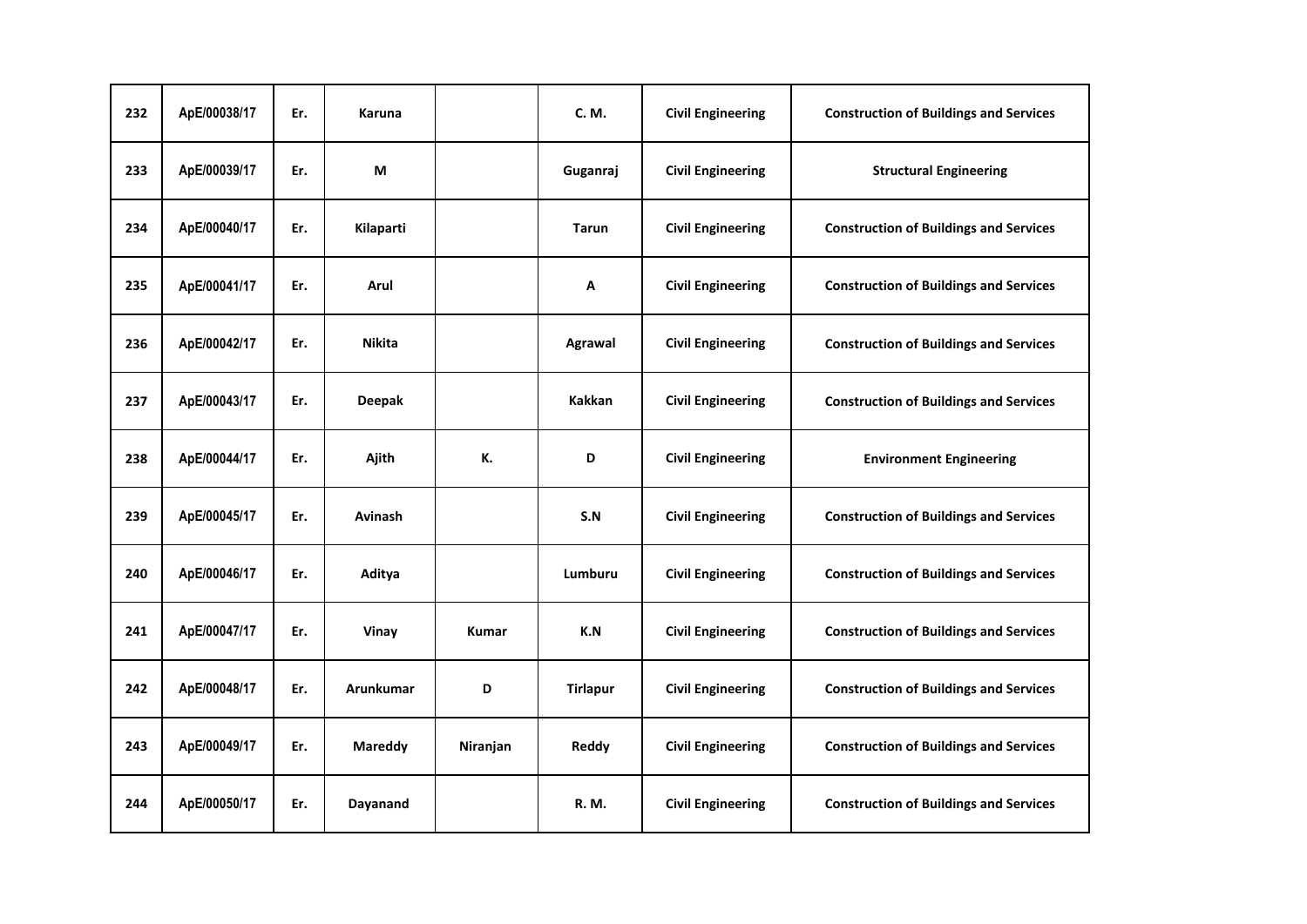| 232 | ApE/00038/17 | Er. | <b>Karuna</b>  |              | C. M.           | <b>Civil Engineering</b> | <b>Construction of Buildings and Services</b> |
|-----|--------------|-----|----------------|--------------|-----------------|--------------------------|-----------------------------------------------|
| 233 | ApE/00039/17 | Er. | М              |              | Guganraj        | <b>Civil Engineering</b> | <b>Structural Engineering</b>                 |
| 234 | ApE/00040/17 | Er. | Kilaparti      |              | <b>Tarun</b>    | <b>Civil Engineering</b> | <b>Construction of Buildings and Services</b> |
| 235 | ApE/00041/17 | Er. | Arul           |              | Α               | <b>Civil Engineering</b> | <b>Construction of Buildings and Services</b> |
| 236 | ApE/00042/17 | Er. | <b>Nikita</b>  |              | Agrawal         | <b>Civil Engineering</b> | <b>Construction of Buildings and Services</b> |
| 237 | ApE/00043/17 | Er. | <b>Deepak</b>  |              | Kakkan          | <b>Civil Engineering</b> | <b>Construction of Buildings and Services</b> |
| 238 | ApE/00044/17 | Er. | Ajith          | К.           | D               | <b>Civil Engineering</b> | <b>Environment Engineering</b>                |
| 239 | ApE/00045/17 | Er. | Avinash        |              | S.N             | <b>Civil Engineering</b> | <b>Construction of Buildings and Services</b> |
| 240 | ApE/00046/17 | Er. | Aditya         |              | Lumburu         | <b>Civil Engineering</b> | <b>Construction of Buildings and Services</b> |
| 241 | ApE/00047/17 | Er. | Vinay          | <b>Kumar</b> | K.N             | <b>Civil Engineering</b> | <b>Construction of Buildings and Services</b> |
| 242 | ApE/00048/17 | Er. | Arunkumar      | D            | <b>Tirlapur</b> | <b>Civil Engineering</b> | <b>Construction of Buildings and Services</b> |
| 243 | ApE/00049/17 | Er. | <b>Mareddy</b> | Niranjan     | Reddy           | <b>Civil Engineering</b> | <b>Construction of Buildings and Services</b> |
| 244 | ApE/00050/17 | Er. | Dayanand       |              | R. M.           | <b>Civil Engineering</b> | <b>Construction of Buildings and Services</b> |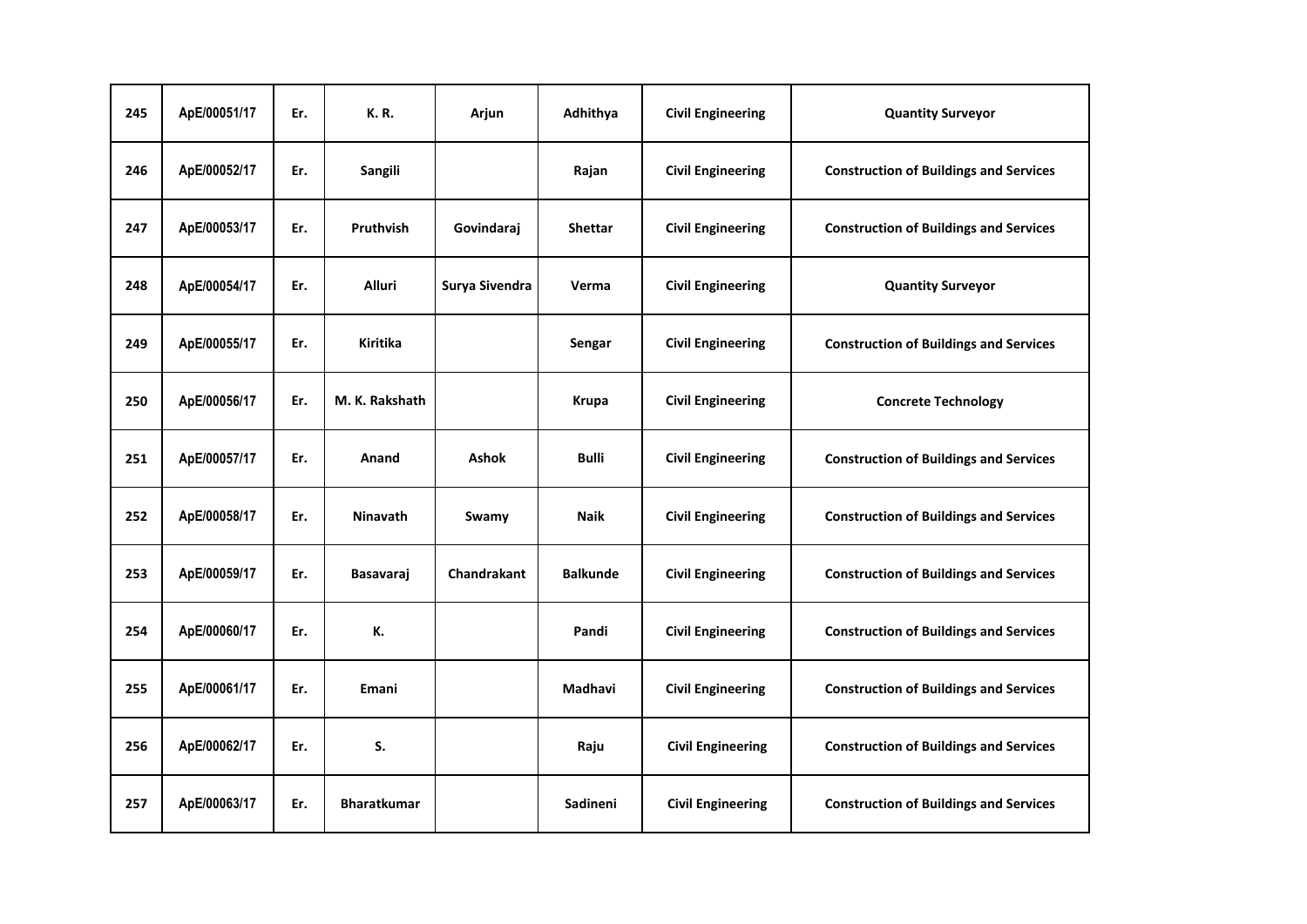| 245 | ApE/00051/17 | Er. | <b>K.R.</b>        | Arjun              | Adhithya        | <b>Civil Engineering</b> | <b>Quantity Surveyor</b>                      |
|-----|--------------|-----|--------------------|--------------------|-----------------|--------------------------|-----------------------------------------------|
| 246 | ApE/00052/17 | Er. | Sangili            |                    | Rajan           | <b>Civil Engineering</b> | <b>Construction of Buildings and Services</b> |
| 247 | ApE/00053/17 | Er. | Pruthvish          | Govindaraj         | <b>Shettar</b>  | <b>Civil Engineering</b> | <b>Construction of Buildings and Services</b> |
| 248 | ApE/00054/17 | Er. | <b>Alluri</b>      | Surya Sivendra     | Verma           | <b>Civil Engineering</b> | <b>Quantity Surveyor</b>                      |
| 249 | ApE/00055/17 | Er. | Kiritika           |                    | Sengar          | <b>Civil Engineering</b> | <b>Construction of Buildings and Services</b> |
| 250 | ApE/00056/17 | Er. | M. K. Rakshath     |                    | Krupa           | <b>Civil Engineering</b> | <b>Concrete Technology</b>                    |
| 251 | ApE/00057/17 | Er. | Anand              | <b>Ashok</b>       | <b>Bulli</b>    | <b>Civil Engineering</b> | <b>Construction of Buildings and Services</b> |
| 252 | ApE/00058/17 | Er. | <b>Ninavath</b>    | Swamy              | <b>Naik</b>     | <b>Civil Engineering</b> | <b>Construction of Buildings and Services</b> |
| 253 | ApE/00059/17 | Er. | Basavaraj          | <b>Chandrakant</b> | <b>Balkunde</b> | <b>Civil Engineering</b> | <b>Construction of Buildings and Services</b> |
| 254 | ApE/00060/17 | Er. | К.                 |                    | Pandi           | <b>Civil Engineering</b> | <b>Construction of Buildings and Services</b> |
| 255 | ApE/00061/17 | Er. | Emani              |                    | Madhavi         | <b>Civil Engineering</b> | <b>Construction of Buildings and Services</b> |
| 256 | ApE/00062/17 | Er. | S.                 |                    | Raju            | <b>Civil Engineering</b> | <b>Construction of Buildings and Services</b> |
| 257 | ApE/00063/17 | Er. | <b>Bharatkumar</b> |                    | Sadineni        | <b>Civil Engineering</b> | <b>Construction of Buildings and Services</b> |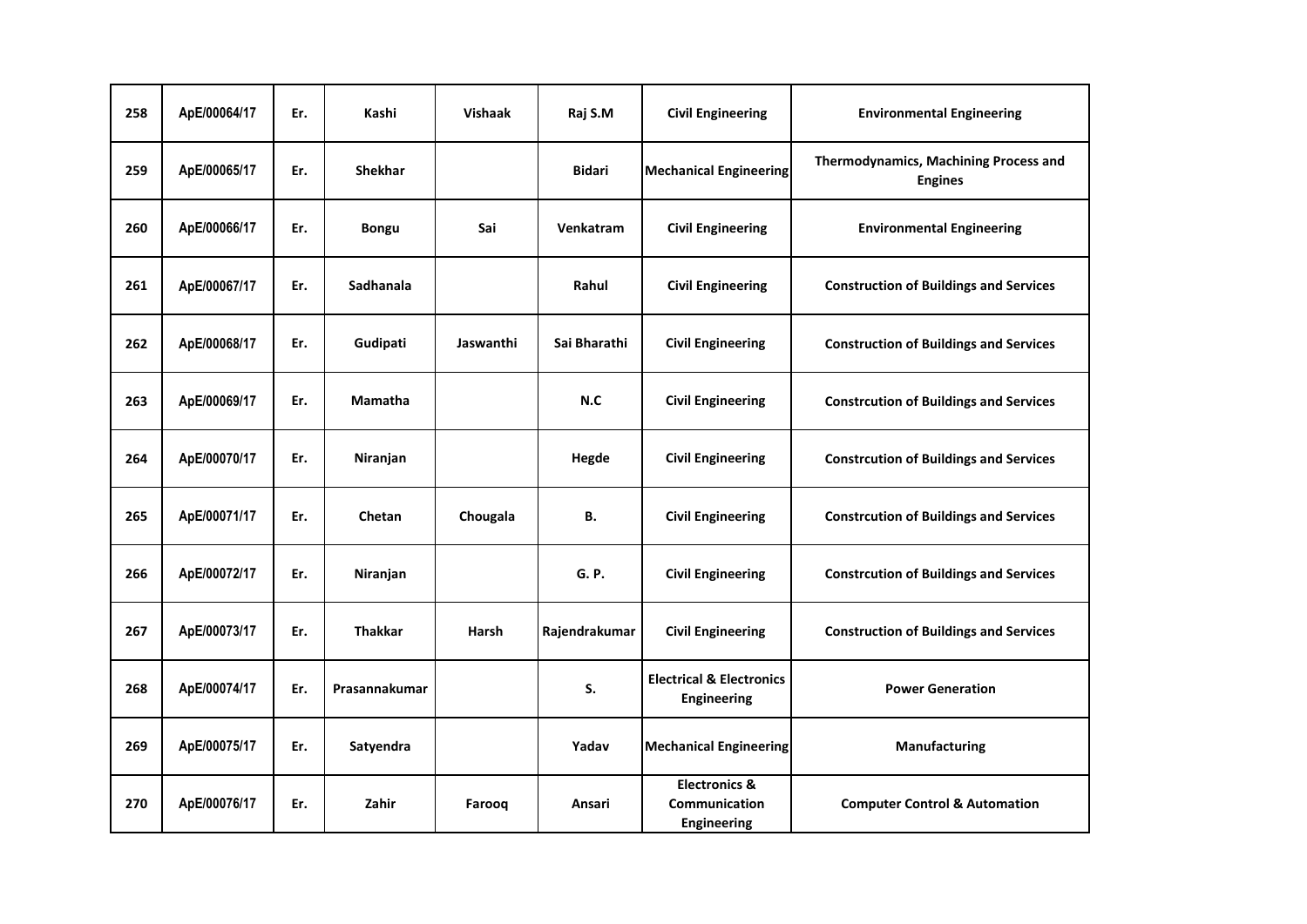| 258 | ApE/00064/17 | Er. | Kashi          | <b>Vishaak</b> | Raj S.M       | <b>Civil Engineering</b>                                  | <b>Environmental Engineering</b>                        |
|-----|--------------|-----|----------------|----------------|---------------|-----------------------------------------------------------|---------------------------------------------------------|
| 259 | ApE/00065/17 | Er. | <b>Shekhar</b> |                | <b>Bidari</b> | <b>Mechanical Engineering</b>                             | Thermodynamics, Machining Process and<br><b>Engines</b> |
| 260 | ApE/00066/17 | Er. | <b>Bongu</b>   | Sai            | Venkatram     | <b>Civil Engineering</b>                                  | <b>Environmental Engineering</b>                        |
| 261 | ApE/00067/17 | Er. | Sadhanala      |                | Rahul         | <b>Civil Engineering</b>                                  | <b>Construction of Buildings and Services</b>           |
| 262 | ApE/00068/17 | Er. | Gudipati       | Jaswanthi      | Sai Bharathi  | <b>Civil Engineering</b>                                  | <b>Construction of Buildings and Services</b>           |
| 263 | ApE/00069/17 | Er. | <b>Mamatha</b> |                | N.C           | <b>Civil Engineering</b>                                  | <b>Constrcution of Buildings and Services</b>           |
| 264 | ApE/00070/17 | Er. | Niranjan       |                | Hegde         | <b>Civil Engineering</b>                                  | <b>Constrcution of Buildings and Services</b>           |
| 265 | ApE/00071/17 | Er. | Chetan         | Chougala       | В.            | <b>Civil Engineering</b>                                  | <b>Constrcution of Buildings and Services</b>           |
| 266 | ApE/00072/17 | Er. | Niranjan       |                | G. P.         | <b>Civil Engineering</b>                                  | <b>Constrcution of Buildings and Services</b>           |
| 267 | ApE/00073/17 | Er. | <b>Thakkar</b> | Harsh          | Rajendrakumar | <b>Civil Engineering</b>                                  | <b>Construction of Buildings and Services</b>           |
| 268 | ApE/00074/17 | Er. | Prasannakumar  |                | S.            | <b>Electrical &amp; Electronics</b><br><b>Engineering</b> | <b>Power Generation</b>                                 |
| 269 | ApE/00075/17 | Er. | Satyendra      |                | Yadav         | <b>Mechanical Engineering</b>                             | Manufacturing                                           |
| 270 | ApE/00076/17 | Er. | Zahir          | Farooq         | Ansari        | <b>Electronics &amp;</b><br>Communication<br>Engineering  | <b>Computer Control &amp; Automation</b>                |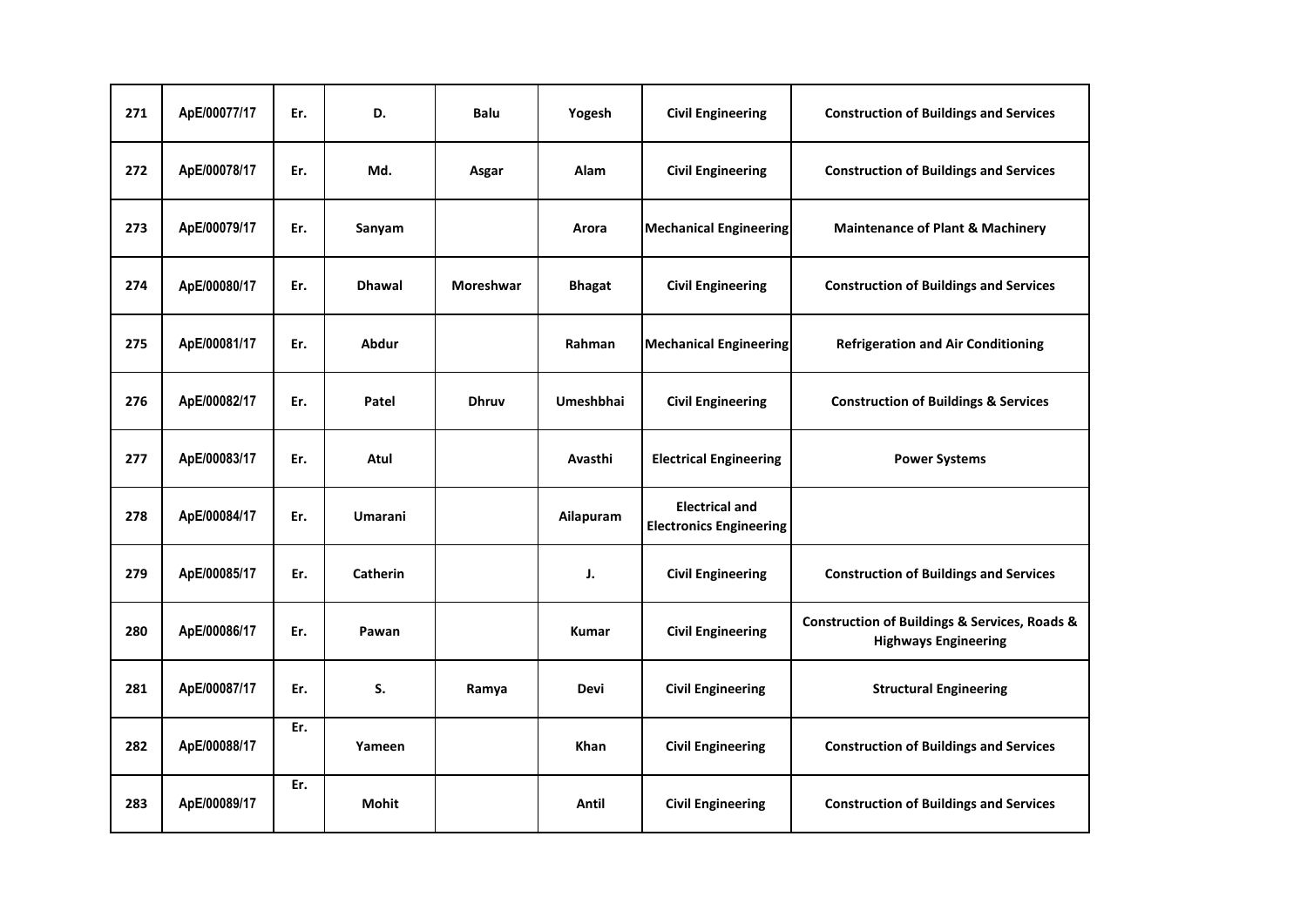| 271 | ApE/00077/17 | Er. | D.              | <b>Balu</b>      | Yogesh           | <b>Civil Engineering</b>                                | <b>Construction of Buildings and Services</b>                                               |
|-----|--------------|-----|-----------------|------------------|------------------|---------------------------------------------------------|---------------------------------------------------------------------------------------------|
| 272 | ApE/00078/17 | Er. | Md.             | Asgar            | Alam             | <b>Civil Engineering</b>                                | <b>Construction of Buildings and Services</b>                                               |
| 273 | ApE/00079/17 | Er. | Sanyam          |                  | Arora            | <b>Mechanical Engineering</b>                           | <b>Maintenance of Plant &amp; Machinery</b>                                                 |
| 274 | ApE/00080/17 | Er. | <b>Dhawal</b>   | <b>Moreshwar</b> | <b>Bhagat</b>    | <b>Civil Engineering</b>                                | <b>Construction of Buildings and Services</b>                                               |
| 275 | ApE/00081/17 | Er. | <b>Abdur</b>    |                  | Rahman           | <b>Mechanical Engineering</b>                           | <b>Refrigeration and Air Conditioning</b>                                                   |
| 276 | ApE/00082/17 | Er. | Patel           | <b>Dhruv</b>     | <b>Umeshbhai</b> | <b>Civil Engineering</b>                                | <b>Construction of Buildings &amp; Services</b>                                             |
| 277 | ApE/00083/17 | Er. | Atul            |                  | Avasthi          | <b>Electrical Engineering</b>                           | <b>Power Systems</b>                                                                        |
| 278 | ApE/00084/17 | Er. | <b>Umarani</b>  |                  | Ailapuram        | <b>Electrical and</b><br><b>Electronics Engineering</b> |                                                                                             |
| 279 | ApE/00085/17 | Er. | <b>Catherin</b> |                  | J.               | <b>Civil Engineering</b>                                | <b>Construction of Buildings and Services</b>                                               |
| 280 | ApE/00086/17 | Er. | Pawan           |                  | <b>Kumar</b>     | <b>Civil Engineering</b>                                | <b>Construction of Buildings &amp; Services, Roads &amp;</b><br><b>Highways Engineering</b> |
| 281 | ApE/00087/17 | Er. | S.              | Ramya            | Devi             | <b>Civil Engineering</b>                                | <b>Structural Engineering</b>                                                               |
| 282 | ApE/00088/17 | Er. | Yameen          |                  | <b>Khan</b>      | <b>Civil Engineering</b>                                | <b>Construction of Buildings and Services</b>                                               |
| 283 | ApE/00089/17 | Er. | <b>Mohit</b>    |                  | Antil            | <b>Civil Engineering</b>                                | <b>Construction of Buildings and Services</b>                                               |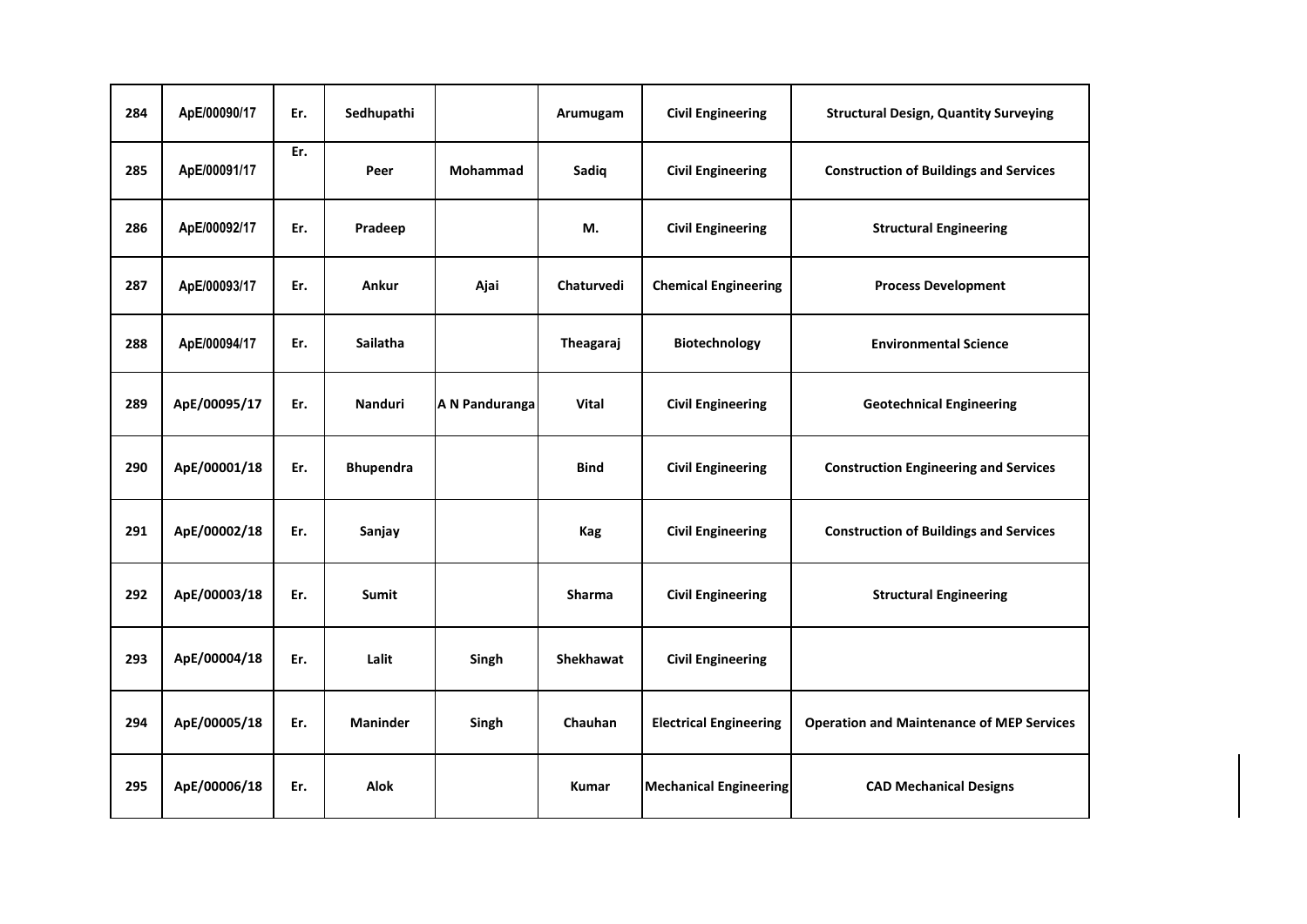| 284 | ApE/00090/17 | Er. | Sedhupathi       |                 | Arumugam      | <b>Civil Engineering</b>      | <b>Structural Design, Quantity Surveying</b>     |
|-----|--------------|-----|------------------|-----------------|---------------|-------------------------------|--------------------------------------------------|
| 285 | ApE/00091/17 | Er. | Peer             | <b>Mohammad</b> | Sadiq         | <b>Civil Engineering</b>      | <b>Construction of Buildings and Services</b>    |
| 286 | ApE/00092/17 | Er. | Pradeep          |                 | М.            | <b>Civil Engineering</b>      | <b>Structural Engineering</b>                    |
| 287 | ApE/00093/17 | Er. | Ankur            | Ajai            | Chaturvedi    | <b>Chemical Engineering</b>   | <b>Process Development</b>                       |
| 288 | ApE/00094/17 | Er. | <b>Sailatha</b>  |                 | Theagaraj     | Biotechnology                 | <b>Environmental Science</b>                     |
| 289 | ApE/00095/17 | Er. | <b>Nanduri</b>   | A N Panduranga  | Vital         | <b>Civil Engineering</b>      | <b>Geotechnical Engineering</b>                  |
| 290 | ApE/00001/18 | Er. | <b>Bhupendra</b> |                 | <b>Bind</b>   | <b>Civil Engineering</b>      | <b>Construction Engineering and Services</b>     |
| 291 | ApE/00002/18 | Er. | Sanjay           |                 | Kag           | <b>Civil Engineering</b>      | <b>Construction of Buildings and Services</b>    |
| 292 | ApE/00003/18 | Er. | <b>Sumit</b>     |                 | <b>Sharma</b> | <b>Civil Engineering</b>      | <b>Structural Engineering</b>                    |
| 293 | ApE/00004/18 | Er. | Lalit            | Singh           | Shekhawat     | <b>Civil Engineering</b>      |                                                  |
| 294 | ApE/00005/18 | Er. | <b>Maninder</b>  | Singh           | Chauhan       | <b>Electrical Engineering</b> | <b>Operation and Maintenance of MEP Services</b> |
| 295 | ApE/00006/18 | Er. | <b>Alok</b>      |                 | <b>Kumar</b>  | <b>Mechanical Engineering</b> | <b>CAD Mechanical Designs</b>                    |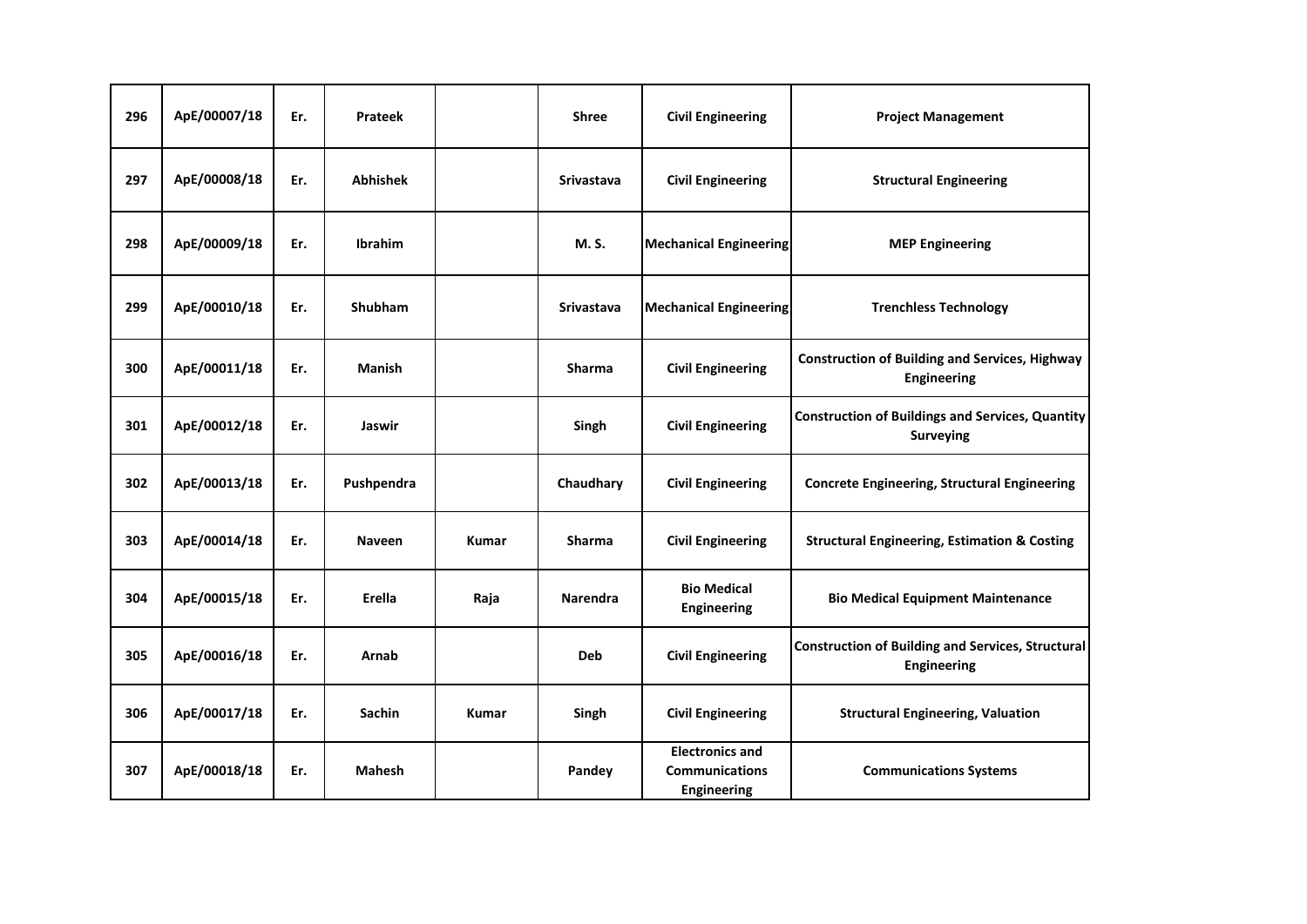| 296 | ApE/00007/18 | Er. | Prateek         |       | <b>Shree</b>      | <b>Civil Engineering</b>                                              | <b>Project Management</b>                                                      |
|-----|--------------|-----|-----------------|-------|-------------------|-----------------------------------------------------------------------|--------------------------------------------------------------------------------|
| 297 | ApE/00008/18 | Er. | <b>Abhishek</b> |       | <b>Srivastava</b> | <b>Civil Engineering</b>                                              | <b>Structural Engineering</b>                                                  |
| 298 | ApE/00009/18 | Er. | <b>Ibrahim</b>  |       | M. S.             | <b>Mechanical Engineering</b>                                         | <b>MEP Engineering</b>                                                         |
| 299 | ApE/00010/18 | Er. | <b>Shubham</b>  |       | <b>Srivastava</b> | <b>Mechanical Engineering</b>                                         | <b>Trenchless Technology</b>                                                   |
| 300 | ApE/00011/18 | Er. | <b>Manish</b>   |       | <b>Sharma</b>     | <b>Civil Engineering</b>                                              | <b>Construction of Building and Services, Highway</b><br>Engineering           |
| 301 | ApE/00012/18 | Er. | Jaswir          |       | Singh             | <b>Civil Engineering</b>                                              | <b>Construction of Buildings and Services, Quantity</b><br><b>Surveying</b>    |
| 302 | ApE/00013/18 | Er. | Pushpendra      |       | Chaudhary         | <b>Civil Engineering</b>                                              | <b>Concrete Engineering, Structural Engineering</b>                            |
| 303 | ApE/00014/18 | Er. | <b>Naveen</b>   | Kumar | <b>Sharma</b>     | <b>Civil Engineering</b>                                              | <b>Structural Engineering, Estimation &amp; Costing</b>                        |
| 304 | ApE/00015/18 | Er. | Erella          | Raja  | <b>Narendra</b>   | <b>Bio Medical</b><br><b>Engineering</b>                              | <b>Bio Medical Equipment Maintenance</b>                                       |
| 305 | ApE/00016/18 | Er. | Arnab           |       | <b>Deb</b>        | <b>Civil Engineering</b>                                              | <b>Construction of Building and Services, Structural</b><br><b>Engineering</b> |
| 306 | ApE/00017/18 | Er. | <b>Sachin</b>   | Kumar | Singh             | <b>Civil Engineering</b>                                              | <b>Structural Engineering, Valuation</b>                                       |
| 307 | ApE/00018/18 | Er. | <b>Mahesh</b>   |       | Pandey            | <b>Electronics and</b><br><b>Communications</b><br><b>Engineering</b> | <b>Communications Systems</b>                                                  |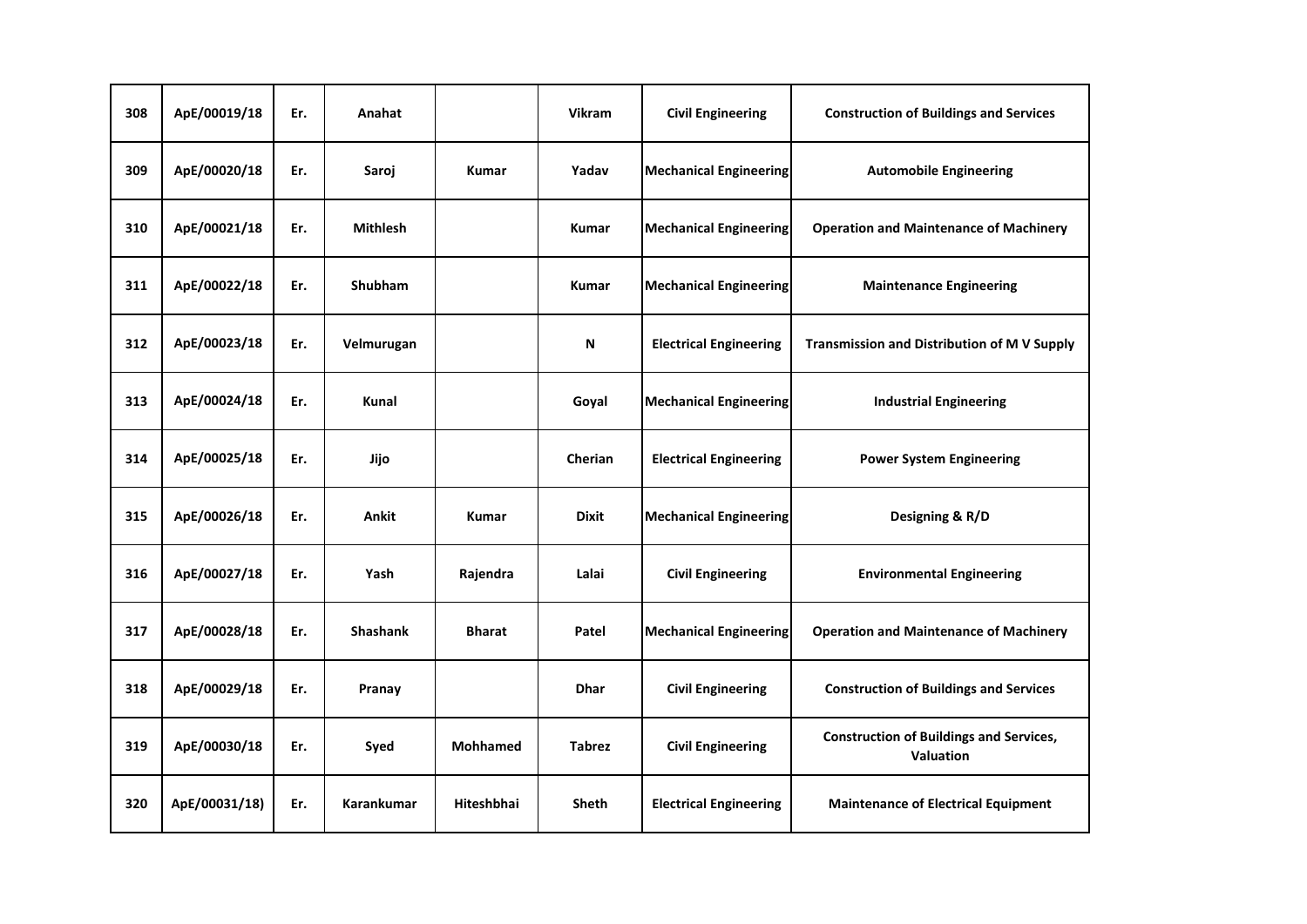| 308 | ApE/00019/18  | Er. | Anahat            |                 | <b>Vikram</b> | <b>Civil Engineering</b>      | <b>Construction of Buildings and Services</b>               |
|-----|---------------|-----|-------------------|-----------------|---------------|-------------------------------|-------------------------------------------------------------|
| 309 | ApE/00020/18  | Er. | Saroj             | <b>Kumar</b>    | Yadav         | <b>Mechanical Engineering</b> | <b>Automobile Engineering</b>                               |
| 310 | ApE/00021/18  | Er. | <b>Mithlesh</b>   |                 | <b>Kumar</b>  | <b>Mechanical Engineering</b> | <b>Operation and Maintenance of Machinery</b>               |
| 311 | ApE/00022/18  | Er. | <b>Shubham</b>    |                 | <b>Kumar</b>  | <b>Mechanical Engineering</b> | <b>Maintenance Engineering</b>                              |
| 312 | ApE/00023/18  | Er. | Velmurugan        |                 | N             | <b>Electrical Engineering</b> | <b>Transmission and Distribution of M V Supply</b>          |
| 313 | ApE/00024/18  | Er. | Kunal             |                 | Goyal         | <b>Mechanical Engineering</b> | <b>Industrial Engineering</b>                               |
| 314 | ApE/00025/18  | Er. | Jijo              |                 | Cherian       | <b>Electrical Engineering</b> | <b>Power System Engineering</b>                             |
| 315 | ApE/00026/18  | Er. | <b>Ankit</b>      | <b>Kumar</b>    | <b>Dixit</b>  | <b>Mechanical Engineering</b> | Designing & R/D                                             |
| 316 | ApE/00027/18  | Er. | Yash              | Rajendra        | Lalai         | <b>Civil Engineering</b>      | <b>Environmental Engineering</b>                            |
| 317 | ApE/00028/18  | Er. | <b>Shashank</b>   | <b>Bharat</b>   | Patel         | <b>Mechanical Engineering</b> | <b>Operation and Maintenance of Machinery</b>               |
| 318 | ApE/00029/18  | Er. | Pranay            |                 | <b>Dhar</b>   | <b>Civil Engineering</b>      | <b>Construction of Buildings and Services</b>               |
| 319 | ApE/00030/18  | Er. | Syed              | <b>Mohhamed</b> | <b>Tabrez</b> | <b>Civil Engineering</b>      | <b>Construction of Buildings and Services,</b><br>Valuation |
| 320 | ApE/00031/18) | Er. | <b>Karankumar</b> | Hiteshbhai      | <b>Sheth</b>  | <b>Electrical Engineering</b> | <b>Maintenance of Electrical Equipment</b>                  |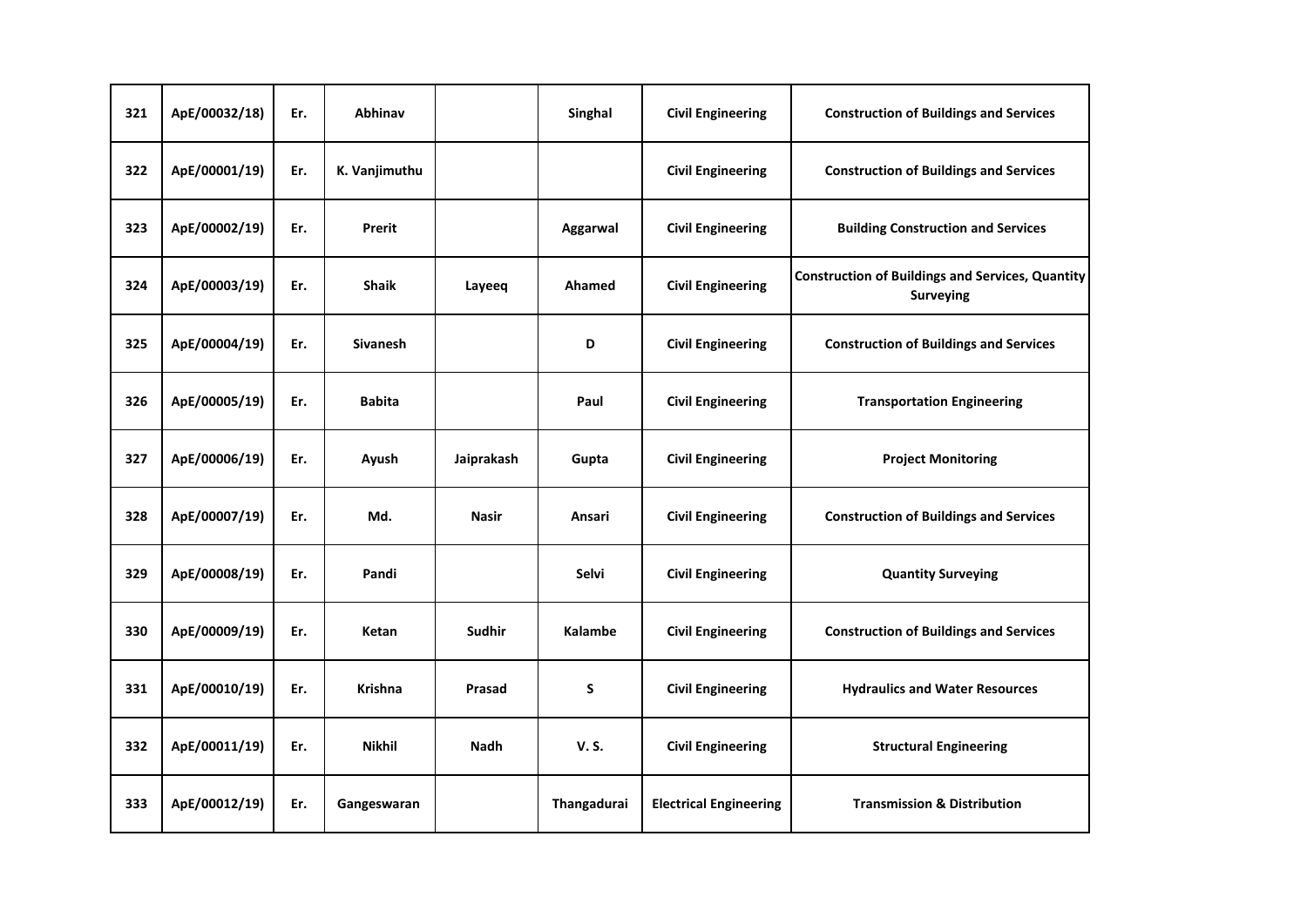| 321 | ApE/00032/18) | Er. | Abhinav         |               | Singhal        | <b>Civil Engineering</b>      | <b>Construction of Buildings and Services</b>                               |
|-----|---------------|-----|-----------------|---------------|----------------|-------------------------------|-----------------------------------------------------------------------------|
| 322 | ApE/00001/19) | Er. | K. Vanjimuthu   |               |                | <b>Civil Engineering</b>      | <b>Construction of Buildings and Services</b>                               |
| 323 | ApE/00002/19) | Er. | Prerit          |               | Aggarwal       | <b>Civil Engineering</b>      | <b>Building Construction and Services</b>                                   |
| 324 | ApE/00003/19) | Er. | <b>Shaik</b>    | Layeeq        | Ahamed         | <b>Civil Engineering</b>      | <b>Construction of Buildings and Services, Quantity</b><br><b>Surveying</b> |
| 325 | ApE/00004/19) | Er. | <b>Sivanesh</b> |               | D              | <b>Civil Engineering</b>      | <b>Construction of Buildings and Services</b>                               |
| 326 | ApE/00005/19) | Er. | <b>Babita</b>   |               | Paul           | <b>Civil Engineering</b>      | <b>Transportation Engineering</b>                                           |
| 327 | ApE/00006/19) | Er. | Ayush           | Jaiprakash    | Gupta          | <b>Civil Engineering</b>      | <b>Project Monitoring</b>                                                   |
| 328 | ApE/00007/19) | Er. | Md.             | <b>Nasir</b>  | Ansari         | <b>Civil Engineering</b>      | <b>Construction of Buildings and Services</b>                               |
| 329 | ApE/00008/19) | Er. | Pandi           |               | Selvi          | <b>Civil Engineering</b>      | <b>Quantity Surveying</b>                                                   |
| 330 | ApE/00009/19) | Er. | Ketan           | <b>Sudhir</b> | <b>Kalambe</b> | <b>Civil Engineering</b>      | <b>Construction of Buildings and Services</b>                               |
| 331 | ApE/00010/19) | Er. | <b>Krishna</b>  | Prasad        | S              | <b>Civil Engineering</b>      | <b>Hydraulics and Water Resources</b>                                       |
| 332 | ApE/00011/19) | Er. | <b>Nikhil</b>   | <b>Nadh</b>   | <b>V.S.</b>    | <b>Civil Engineering</b>      | <b>Structural Engineering</b>                                               |
| 333 | ApE/00012/19) | Er. | Gangeswaran     |               | Thangadurai    | <b>Electrical Engineering</b> | <b>Transmission &amp; Distribution</b>                                      |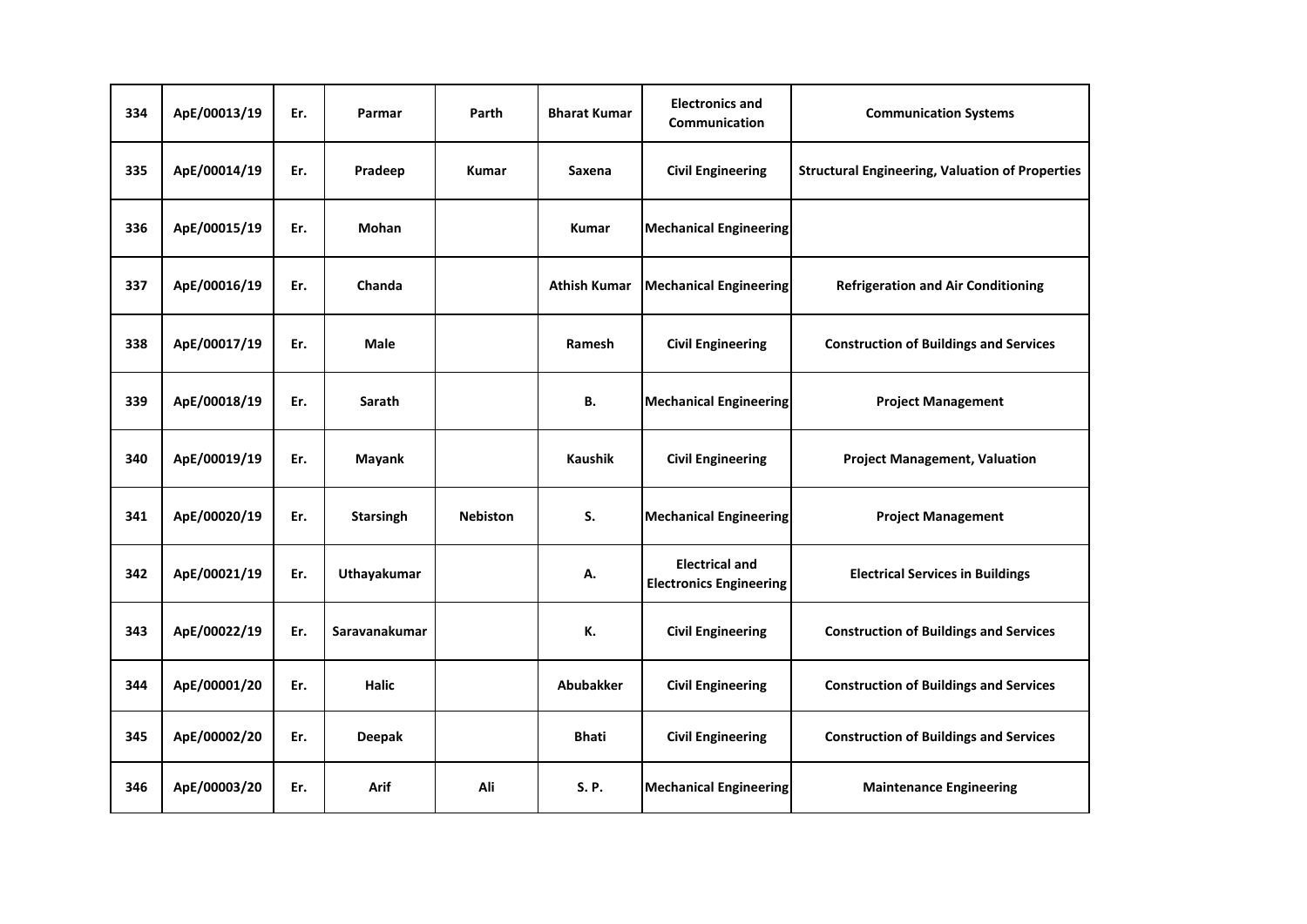| 334 | ApE/00013/19 | Er. | Parmar           | Parth           | <b>Bharat Kumar</b> | <b>Electronics and</b><br>Communication                 | <b>Communication Systems</b>                           |
|-----|--------------|-----|------------------|-----------------|---------------------|---------------------------------------------------------|--------------------------------------------------------|
| 335 | ApE/00014/19 | Er. | Pradeep          | <b>Kumar</b>    | Saxena              | <b>Civil Engineering</b>                                | <b>Structural Engineering, Valuation of Properties</b> |
| 336 | ApE/00015/19 | Er. | Mohan            |                 | <b>Kumar</b>        | <b>Mechanical Engineering</b>                           |                                                        |
| 337 | ApE/00016/19 | Er. | Chanda           |                 | <b>Athish Kumar</b> | <b>Mechanical Engineering</b>                           | <b>Refrigeration and Air Conditioning</b>              |
| 338 | ApE/00017/19 | Er. | <b>Male</b>      |                 | Ramesh              | <b>Civil Engineering</b>                                | <b>Construction of Buildings and Services</b>          |
| 339 | ApE/00018/19 | Er. | Sarath           |                 | В.                  | <b>Mechanical Engineering</b>                           | <b>Project Management</b>                              |
| 340 | ApE/00019/19 | Er. | <b>Mayank</b>    |                 | <b>Kaushik</b>      | <b>Civil Engineering</b>                                | <b>Project Management, Valuation</b>                   |
| 341 | ApE/00020/19 | Er. | <b>Starsingh</b> | <b>Nebiston</b> | S.                  | <b>Mechanical Engineering</b>                           | <b>Project Management</b>                              |
| 342 | ApE/00021/19 | Er. | Uthayakumar      |                 | А.                  | <b>Electrical and</b><br><b>Electronics Engineering</b> | <b>Electrical Services in Buildings</b>                |
| 343 | ApE/00022/19 | Er. | Saravanakumar    |                 | К.                  | <b>Civil Engineering</b>                                | <b>Construction of Buildings and Services</b>          |
| 344 | ApE/00001/20 | Er. | <b>Halic</b>     |                 | Abubakker           | <b>Civil Engineering</b>                                | <b>Construction of Buildings and Services</b>          |
| 345 | ApE/00002/20 | Er. | <b>Deepak</b>    |                 | <b>Bhati</b>        | <b>Civil Engineering</b>                                | <b>Construction of Buildings and Services</b>          |
| 346 | ApE/00003/20 | Er. | Arif             | Ali             | S. P.               | <b>Mechanical Engineering</b>                           | <b>Maintenance Engineering</b>                         |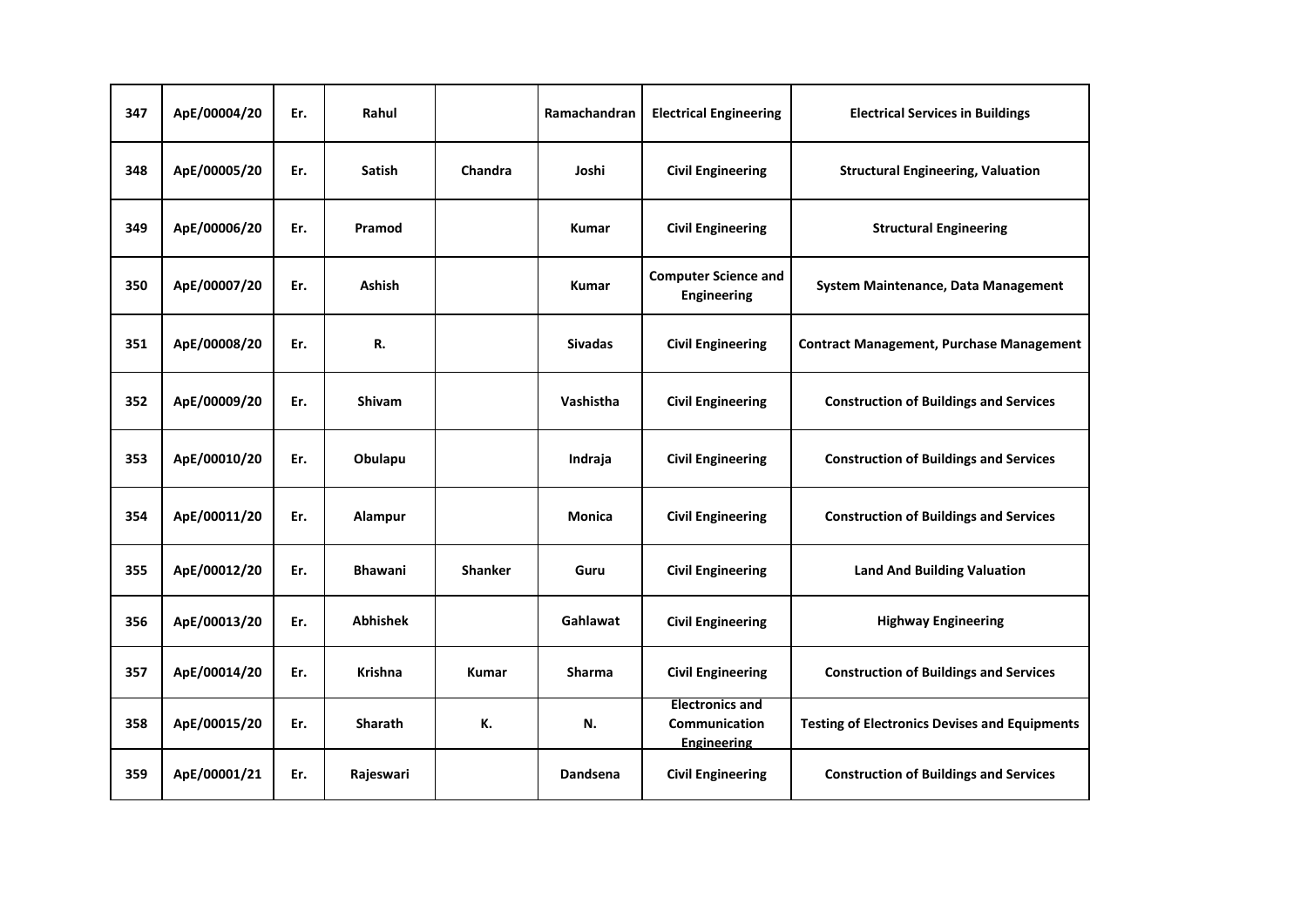| 347 | ApE/00004/20 | Er. | Rahul           |                | Ramachandran   | <b>Electrical Engineering</b>                                 | <b>Electrical Services in Buildings</b>              |
|-----|--------------|-----|-----------------|----------------|----------------|---------------------------------------------------------------|------------------------------------------------------|
| 348 | ApE/00005/20 | Er. | <b>Satish</b>   | Chandra        | Joshi          | <b>Civil Engineering</b>                                      | <b>Structural Engineering, Valuation</b>             |
| 349 | ApE/00006/20 | Er. | Pramod          |                | Kumar          | <b>Civil Engineering</b>                                      | <b>Structural Engineering</b>                        |
| 350 | ApE/00007/20 | Er. | <b>Ashish</b>   |                | <b>Kumar</b>   | <b>Computer Science and</b><br><b>Engineering</b>             | System Maintenance, Data Management                  |
| 351 | ApE/00008/20 | Er. | R.              |                | <b>Sivadas</b> | <b>Civil Engineering</b>                                      | <b>Contract Management, Purchase Management</b>      |
| 352 | ApE/00009/20 | Er. | <b>Shivam</b>   |                | Vashistha      | <b>Civil Engineering</b>                                      | <b>Construction of Buildings and Services</b>        |
| 353 | ApE/00010/20 | Er. | Obulapu         |                | Indraja        | <b>Civil Engineering</b>                                      | <b>Construction of Buildings and Services</b>        |
| 354 | ApE/00011/20 | Er. | Alampur         |                | Monica         | <b>Civil Engineering</b>                                      | <b>Construction of Buildings and Services</b>        |
| 355 | ApE/00012/20 | Er. | <b>Bhawani</b>  | <b>Shanker</b> | Guru           | <b>Civil Engineering</b>                                      | <b>Land And Building Valuation</b>                   |
| 356 | ApE/00013/20 | Er. | <b>Abhishek</b> |                | Gahlawat       | <b>Civil Engineering</b>                                      | <b>Highway Engineering</b>                           |
| 357 | ApE/00014/20 | Er. | Krishna         | <b>Kumar</b>   | <b>Sharma</b>  | <b>Civil Engineering</b>                                      | <b>Construction of Buildings and Services</b>        |
| 358 | ApE/00015/20 | Er. | Sharath         | К.             | N.             | <b>Electronics and</b><br>Communication<br><b>Engineering</b> | <b>Testing of Electronics Devises and Equipments</b> |
| 359 | ApE/00001/21 | Er. | Rajeswari       |                | Dandsena       | <b>Civil Engineering</b>                                      | <b>Construction of Buildings and Services</b>        |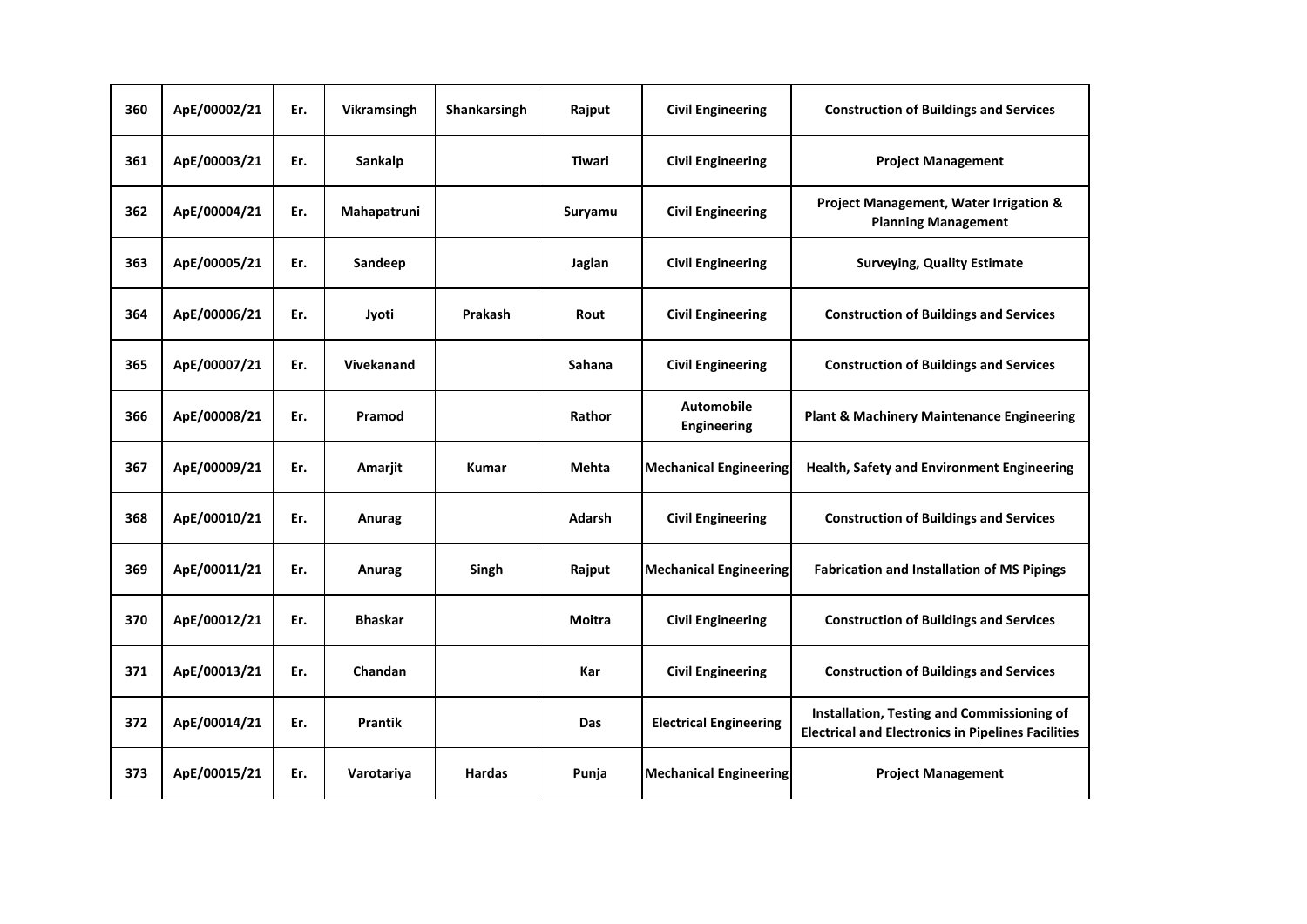| 360 | ApE/00002/21 | Er. | Vikramsingh       | Shankarsingh  | Rajput        | <b>Civil Engineering</b>                | <b>Construction of Buildings and Services</b>                                                           |
|-----|--------------|-----|-------------------|---------------|---------------|-----------------------------------------|---------------------------------------------------------------------------------------------------------|
| 361 | ApE/00003/21 | Er. | Sankalp           |               | <b>Tiwari</b> | <b>Civil Engineering</b>                | <b>Project Management</b>                                                                               |
| 362 | ApE/00004/21 | Er. | Mahapatruni       |               | Suryamu       | <b>Civil Engineering</b>                | Project Management, Water Irrigation &<br><b>Planning Management</b>                                    |
| 363 | ApE/00005/21 | Er. | Sandeep           |               | Jaglan        | <b>Civil Engineering</b>                | <b>Surveying, Quality Estimate</b>                                                                      |
| 364 | ApE/00006/21 | Er. | Jyoti             | Prakash       | Rout          | <b>Civil Engineering</b>                | <b>Construction of Buildings and Services</b>                                                           |
| 365 | ApE/00007/21 | Er. | <b>Vivekanand</b> |               | Sahana        | <b>Civil Engineering</b>                | <b>Construction of Buildings and Services</b>                                                           |
| 366 | ApE/00008/21 | Er. | Pramod            |               | Rathor        | <b>Automobile</b><br><b>Engineering</b> | <b>Plant &amp; Machinery Maintenance Engineering</b>                                                    |
| 367 | ApE/00009/21 | Er. | Amarjit           | <b>Kumar</b>  | Mehta         | <b>Mechanical Engineering</b>           | Health, Safety and Environment Engineering                                                              |
| 368 | ApE/00010/21 | Er. | Anurag            |               | <b>Adarsh</b> | <b>Civil Engineering</b>                | <b>Construction of Buildings and Services</b>                                                           |
| 369 | ApE/00011/21 | Er. | Anurag            | Singh         | Rajput        | <b>Mechanical Engineering</b>           | <b>Fabrication and Installation of MS Pipings</b>                                                       |
| 370 | ApE/00012/21 | Er. | <b>Bhaskar</b>    |               | <b>Moitra</b> | <b>Civil Engineering</b>                | <b>Construction of Buildings and Services</b>                                                           |
| 371 | ApE/00013/21 | Er. | Chandan           |               | Kar           | <b>Civil Engineering</b>                | <b>Construction of Buildings and Services</b>                                                           |
| 372 | ApE/00014/21 | Er. | <b>Prantik</b>    |               | Das           | <b>Electrical Engineering</b>           | Installation, Testing and Commissioning of<br><b>Electrical and Electronics in Pipelines Facilities</b> |
| 373 | ApE/00015/21 | Er. | Varotariya        | <b>Hardas</b> | Punja         | <b>Mechanical Engineering</b>           | <b>Project Management</b>                                                                               |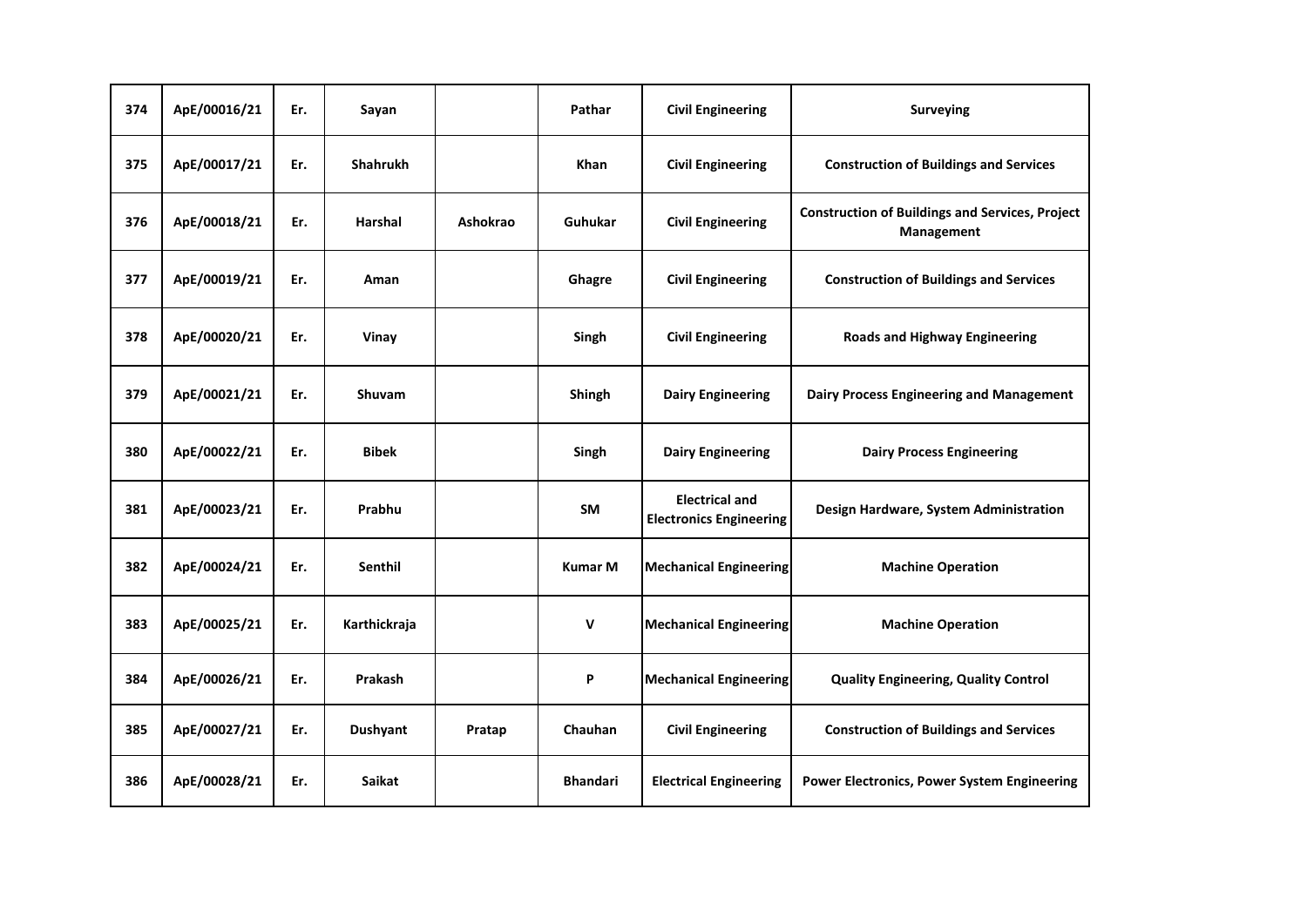| 374 | ApE/00016/21 | Er. | Sayan           |          | Pathar          | <b>Civil Engineering</b>                                | <b>Surveying</b>                                                     |
|-----|--------------|-----|-----------------|----------|-----------------|---------------------------------------------------------|----------------------------------------------------------------------|
| 375 | ApE/00017/21 | Er. | <b>Shahrukh</b> |          | <b>Khan</b>     | <b>Civil Engineering</b>                                | <b>Construction of Buildings and Services</b>                        |
| 376 | ApE/00018/21 | Er. | Harshal         | Ashokrao | Guhukar         | <b>Civil Engineering</b>                                | <b>Construction of Buildings and Services, Project</b><br>Management |
| 377 | ApE/00019/21 | Er. | Aman            |          | Ghagre          | <b>Civil Engineering</b>                                | <b>Construction of Buildings and Services</b>                        |
| 378 | ApE/00020/21 | Er. | Vinay           |          | Singh           | <b>Civil Engineering</b>                                | <b>Roads and Highway Engineering</b>                                 |
| 379 | ApE/00021/21 | Er. | <b>Shuvam</b>   |          | Shingh          | <b>Dairy Engineering</b>                                | Dairy Process Engineering and Management                             |
| 380 | ApE/00022/21 | Er. | <b>Bibek</b>    |          | Singh           | <b>Dairy Engineering</b>                                | <b>Dairy Process Engineering</b>                                     |
| 381 | ApE/00023/21 | Er. | Prabhu          |          | <b>SM</b>       | <b>Electrical and</b><br><b>Electronics Engineering</b> | Design Hardware, System Administration                               |
| 382 | ApE/00024/21 | Er. | <b>Senthil</b>  |          | <b>Kumar M</b>  | <b>Mechanical Engineering</b>                           | <b>Machine Operation</b>                                             |
| 383 | ApE/00025/21 | Er. | Karthickraja    |          | $\mathsf{v}$    | <b>Mechanical Engineering</b>                           | <b>Machine Operation</b>                                             |
| 384 | ApE/00026/21 | Er. | Prakash         |          | P               | <b>Mechanical Engineering</b>                           | <b>Quality Engineering, Quality Control</b>                          |
| 385 | ApE/00027/21 | Er. | <b>Dushyant</b> | Pratap   | Chauhan         | <b>Civil Engineering</b>                                | <b>Construction of Buildings and Services</b>                        |
| 386 | ApE/00028/21 | Er. | <b>Saikat</b>   |          | <b>Bhandari</b> | <b>Electrical Engineering</b>                           | <b>Power Electronics, Power System Engineering</b>                   |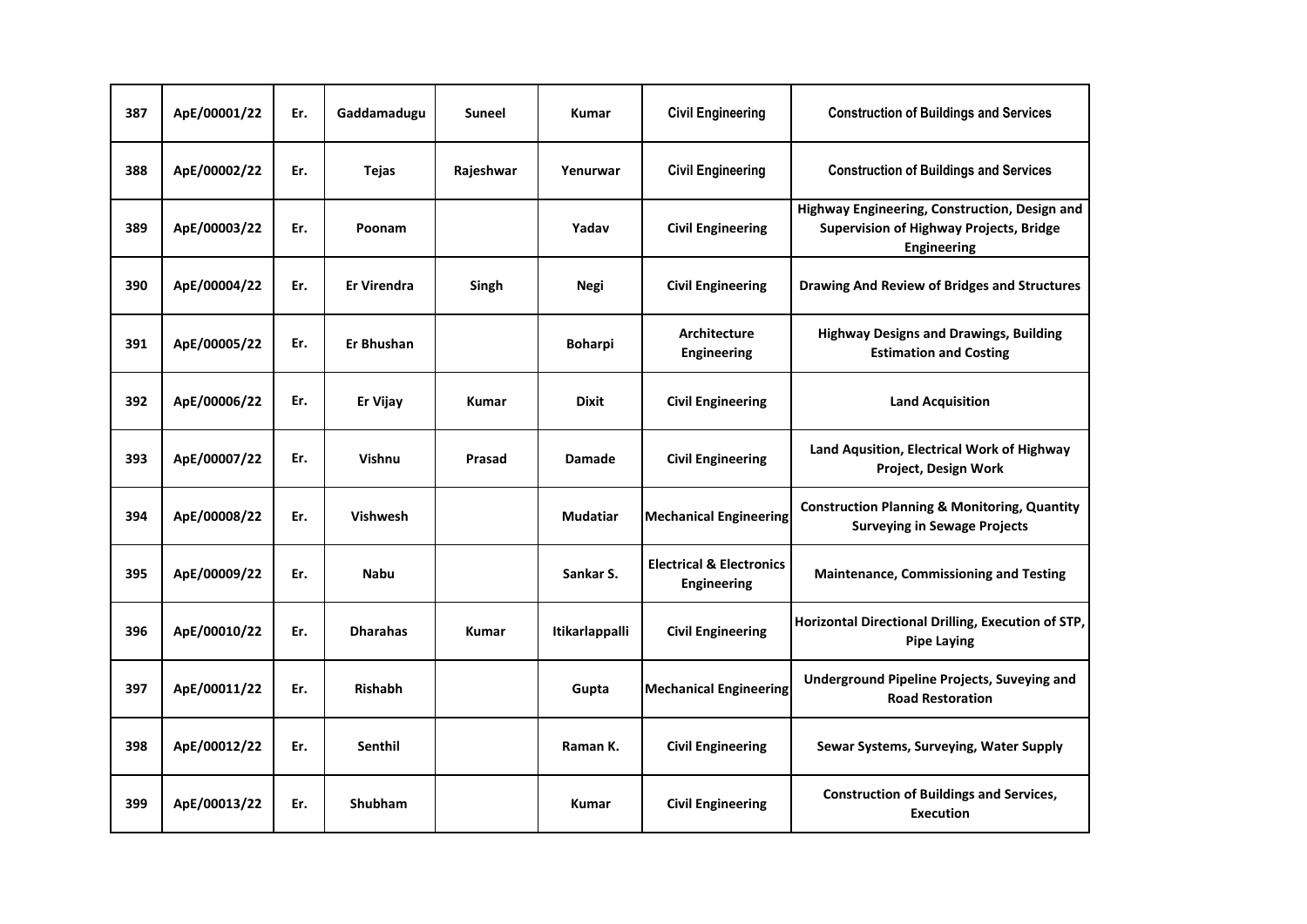| 387 | ApE/00001/22 | Er. | Gaddamadugu        | Suneel       | <b>Kumar</b>    | <b>Civil Engineering</b>                                  | <b>Construction of Buildings and Services</b>                                                                  |
|-----|--------------|-----|--------------------|--------------|-----------------|-----------------------------------------------------------|----------------------------------------------------------------------------------------------------------------|
| 388 | ApE/00002/22 | Er. | Tejas              | Rajeshwar    | Yenurwar        | <b>Civil Engineering</b>                                  | <b>Construction of Buildings and Services</b>                                                                  |
| 389 | ApE/00003/22 | Er. | Poonam             |              | Yadav           | <b>Civil Engineering</b>                                  | Highway Engineering, Construction, Design and<br><b>Supervision of Highway Projects, Bridge</b><br>Engineering |
| 390 | ApE/00004/22 | Er. | <b>Er Virendra</b> | Singh        | Negi            | <b>Civil Engineering</b>                                  | <b>Drawing And Review of Bridges and Structures</b>                                                            |
| 391 | ApE/00005/22 | Er. | <b>Er Bhushan</b>  |              | <b>Boharpi</b>  | Architecture<br>Engineering                               | <b>Highway Designs and Drawings, Building</b><br><b>Estimation and Costing</b>                                 |
| 392 | ApE/00006/22 | Er. | Er Vijay           | Kumar        | <b>Dixit</b>    | <b>Civil Engineering</b>                                  | <b>Land Acquisition</b>                                                                                        |
| 393 | ApE/00007/22 | Er. | Vishnu             | Prasad       | <b>Damade</b>   | <b>Civil Engineering</b>                                  | Land Aqusition, Electrical Work of Highway<br>Project, Design Work                                             |
| 394 | ApE/00008/22 | Er. | <b>Vishwesh</b>    |              | <b>Mudatiar</b> | <b>Mechanical Engineering</b>                             | <b>Construction Planning &amp; Monitoring, Quantity</b><br><b>Surveying in Sewage Projects</b>                 |
| 395 | ApE/00009/22 | Er. | <b>Nabu</b>        |              | Sankar S.       | <b>Electrical &amp; Electronics</b><br><b>Engineering</b> | <b>Maintenance, Commissioning and Testing</b>                                                                  |
| 396 | ApE/00010/22 | Er. | <b>Dharahas</b>    | <b>Kumar</b> | Itikarlappalli  | <b>Civil Engineering</b>                                  | Horizontal Directional Drilling, Execution of STP,<br><b>Pipe Laying</b>                                       |
| 397 | ApE/00011/22 | Er. | <b>Rishabh</b>     |              | Gupta           | <b>Mechanical Engineering</b>                             | Underground Pipeline Projects, Suveying and<br><b>Road Restoration</b>                                         |
| 398 | ApE/00012/22 | Er. | Senthil            |              | Raman K.        | <b>Civil Engineering</b>                                  | Sewar Systems, Surveying, Water Supply                                                                         |
| 399 | ApE/00013/22 | Er. | <b>Shubham</b>     |              | <b>Kumar</b>    | <b>Civil Engineering</b>                                  | <b>Construction of Buildings and Services,</b><br><b>Execution</b>                                             |